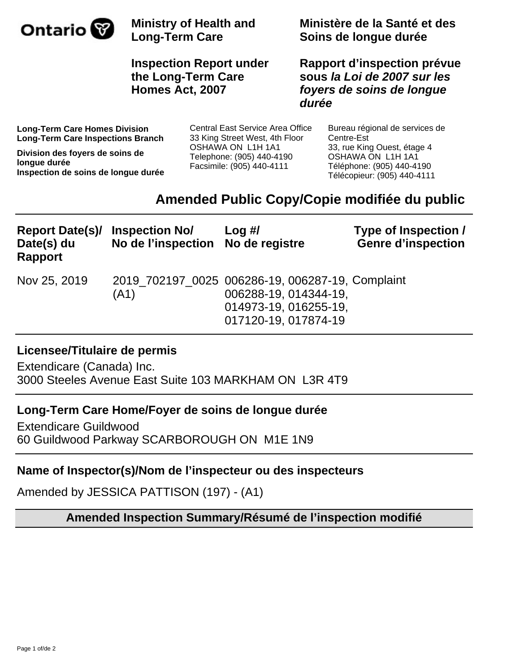

**Inspection Report under the Long-Term Care Homes Act, 2007**

**Ministère de la Santé et des Soins de longue durée** 

**Rapport d'inspection prévue sous la Loi de 2007 sur les foyers de soins de longue durée**

**Long-Term Care Homes Division Long-Term Care Inspections Branch**

**Division des foyers de soins de longue durée Inspection de soins de longue durée** Central East Service Area Office 33 King Street West, 4th Floor OSHAWA ON L1H 1A1 Telephone: (905) 440-4190 Facsimile: (905) 440-4111

Bureau régional de services de Centre-Est 33, rue King Ouest, étage 4 OSHAWA ON L1H 1A1 Téléphone: (905) 440-4190 Télécopieur: (905) 440-4111

# **Amended Public Copy/Copie modifiée du public**

| <b>Report Date(s)/</b><br>Date(s) du<br><b>Rapport</b> | <b>Inspection No/</b><br>No de l'inspection No de registre | Log #/                                                                                                                     | Type of Inspection /<br><b>Genre d'inspection</b> |
|--------------------------------------------------------|------------------------------------------------------------|----------------------------------------------------------------------------------------------------------------------------|---------------------------------------------------|
| Nov 25, 2019                                           | (A1)                                                       | 2019_702197_0025_006286-19, 006287-19, Complaint<br>006288-19, 014344-19,<br>014973-19, 016255-19,<br>017120-19, 017874-19 |                                                   |

#### **Licensee/Titulaire de permis**

Extendicare (Canada) Inc. 3000 Steeles Avenue East Suite 103 MARKHAM ON L3R 4T9

#### **Long-Term Care Home/Foyer de soins de longue durée**

Extendicare Guildwood 60 Guildwood Parkway SCARBOROUGH ON M1E 1N9

#### **Name of Inspector(s)/Nom de l'inspecteur ou des inspecteurs**

Amended by JESSICA PATTISON (197) - (A1)

#### **Amended Inspection Summary/Résumé de l'inspection modifié**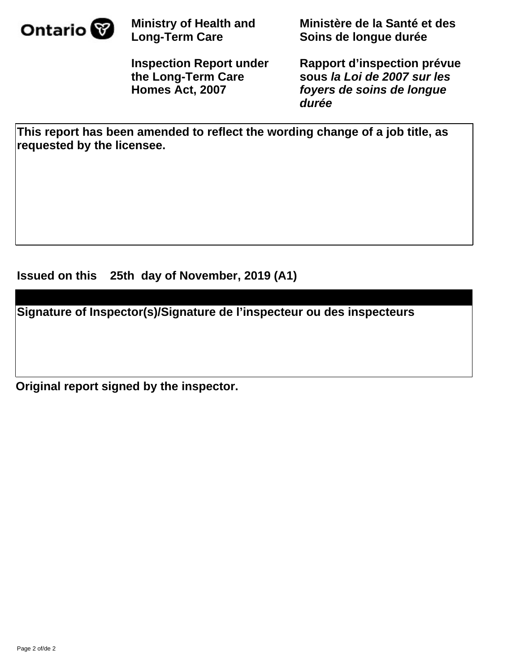

**Ministère de la Santé et des Soins de longue durée** 

**Inspection Report under the Long-Term Care Homes Act, 2007**

**Rapport d'inspection prévue sous la Loi de 2007 sur les foyers de soins de longue durée**

**This report has been amended to reflect the wording change of a job title, as requested by the licensee.**

**Issued on this 25th day of November, 2019 (A1)**

**Signature of Inspector(s)/Signature de l'inspecteur ou des inspecteurs**

**Original report signed by the inspector.**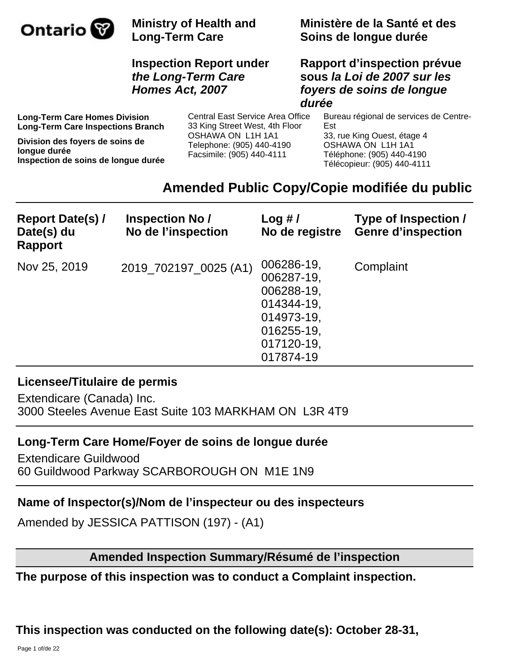

**Inspection Report under the Long-Term Care Homes Act, 2007**

**Ministère de la Santé et des Soins de longue durée** 

#### **Rapport d'inspection prévue sous la Loi de 2007 sur les foyers de soins de longue durée**

**Long-Term Care Homes Division Long-Term Care Inspections Branch**

**Division des foyers de soins de longue durée Inspection de soins de longue durée** Central East Service Area Office 33 King Street West, 4th Floor OSHAWA ON L1H 1A1 Telephone: (905) 440-4190 Facsimile: (905) 440-4111

Bureau régional de services de Centre-Est 33, rue King Ouest, étage 4 OSHAWA ON L1H 1A1 Téléphone: (905) 440-4190 Télécopieur: (905) 440-4111

# **Amended Public Copy/Copie modifiée du public**

| <b>Report Date(s)/</b><br>Date(s) du<br><b>Rapport</b> | <b>Inspection No /</b><br>No de l'inspection | Log #/<br>No de registre                                                                                    | Type of Inspection /<br><b>Genre d'inspection</b> |
|--------------------------------------------------------|----------------------------------------------|-------------------------------------------------------------------------------------------------------------|---------------------------------------------------|
| Nov 25, 2019                                           | 2019_702197_0025 (A1)                        | 006286-19,<br>006287-19,<br>006288-19,<br>014344-19,<br>014973-19,<br>016255-19,<br>017120-19,<br>017874-19 | Complaint                                         |

#### **Licensee/Titulaire de permis**

Extendicare (Canada) Inc. 3000 Steeles Avenue East Suite 103 MARKHAM ON L3R 4T9

### **Long-Term Care Home/Foyer de soins de longue durée**

Extendicare Guildwood 60 Guildwood Parkway SCARBOROUGH ON M1E 1N9

# **Name of Inspector(s)/Nom de l'inspecteur ou des inspecteurs**

Amended by JESSICA PATTISON (197) - (A1)

# **Amended Inspection Summary/Résumé de l'inspection**

# **The purpose of this inspection was to conduct a Complaint inspection.**

**This inspection was conducted on the following date(s): October 28-31,**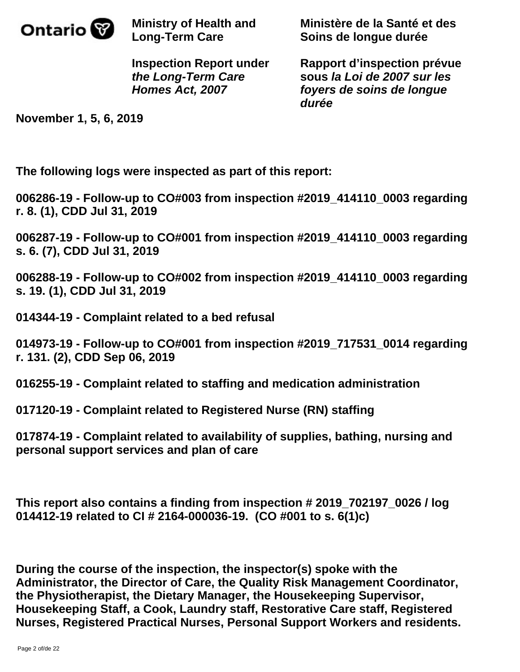

**Ministère de la Santé et des Soins de longue durée** 

**Inspection Report under the Long-Term Care Homes Act, 2007**

**Rapport d'inspection prévue sous la Loi de 2007 sur les foyers de soins de longue durée**

**November 1, 5, 6, 2019**

**The following logs were inspected as part of this report:**

**006286-19 - Follow-up to CO#003 from inspection #2019\_414110\_0003 regarding r. 8. (1), CDD Jul 31, 2019**

**006287-19 - Follow-up to CO#001 from inspection #2019\_414110\_0003 regarding s. 6. (7), CDD Jul 31, 2019**

**006288-19 - Follow-up to CO#002 from inspection #2019\_414110\_0003 regarding s. 19. (1), CDD Jul 31, 2019**

**014344-19 - Complaint related to a bed refusal**

**014973-19 - Follow-up to CO#001 from inspection #2019\_717531\_0014 regarding r. 131. (2), CDD Sep 06, 2019**

**016255-19 - Complaint related to staffing and medication administration**

**017120-19 - Complaint related to Registered Nurse (RN) staffing**

**017874-19 - Complaint related to availability of supplies, bathing, nursing and personal support services and plan of care**

**This report also contains a finding from inspection # 2019\_702197\_0026 / log 014412-19 related to CI # 2164-000036-19. (CO #001 to s. 6(1)c)**

**During the course of the inspection, the inspector(s) spoke with the Administrator, the Director of Care, the Quality Risk Management Coordinator, the Physiotherapist, the Dietary Manager, the Housekeeping Supervisor, Housekeeping Staff, a Cook, Laundry staff, Restorative Care staff, Registered Nurses, Registered Practical Nurses, Personal Support Workers and residents.**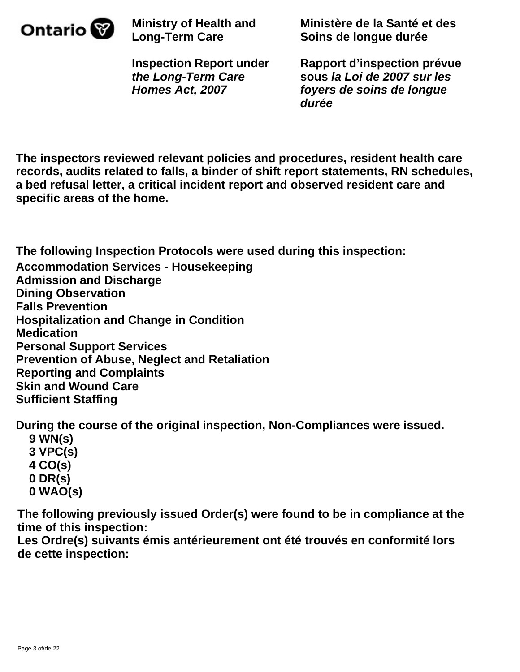

**Ministère de la Santé et des Soins de longue durée** 

**Inspection Report under the Long-Term Care Homes Act, 2007**

**Rapport d'inspection prévue sous la Loi de 2007 sur les foyers de soins de longue durée**

**The inspectors reviewed relevant policies and procedures, resident health care records, audits related to falls, a binder of shift report statements, RN schedules, a bed refusal letter, a critical incident report and observed resident care and specific areas of the home.**

**The following Inspection Protocols were used during this inspection: Accommodation Services - Housekeeping Admission and Discharge Dining Observation Falls Prevention Hospitalization and Change in Condition Medication Personal Support Services Prevention of Abuse, Neglect and Retaliation Reporting and Complaints Skin and Wound Care Sufficient Staffing**

**During the course of the original inspection, Non-Compliances were issued.**

 **9 WN(s) 3 VPC(s) 4 CO(s) 0 DR(s) 0 WAO(s)**

**The following previously issued Order(s) were found to be in compliance at the time of this inspection:**

**Les Ordre(s) suivants émis antérieurement ont été trouvés en conformité lors de cette inspection:**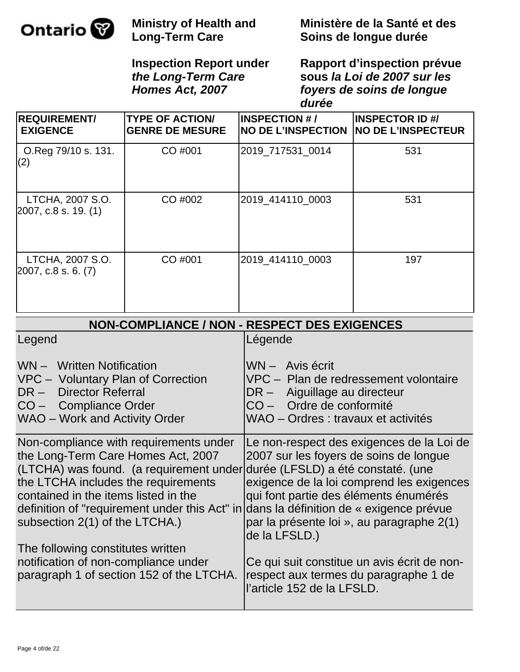

**Ministère de la Santé et des Soins de longue durée** 

**Inspection Report under the Long-Term Care Homes Act, 2007**

**Rapport d'inspection prévue sous la Loi de 2007 sur les foyers de soins de longue durée**

| <b>REQUIREMENT/</b><br><b>EXIGENCE</b>                                                                                                                                                                                                                                                                                                                                                                                                                                                        | <b>TYPE OF ACTION/</b><br><b>GENRE DE MESURE</b> | <b>INSPECTION #/</b><br><b>NO DE L'INSPECTION</b>                                                                                                                       | <b>INSPECTOR ID#/</b><br><b>NO DE L'INSPECTEUR</b>                                                                                                                                 |
|-----------------------------------------------------------------------------------------------------------------------------------------------------------------------------------------------------------------------------------------------------------------------------------------------------------------------------------------------------------------------------------------------------------------------------------------------------------------------------------------------|--------------------------------------------------|-------------------------------------------------------------------------------------------------------------------------------------------------------------------------|------------------------------------------------------------------------------------------------------------------------------------------------------------------------------------|
| O.Reg 79/10 s. 131.<br>(2)                                                                                                                                                                                                                                                                                                                                                                                                                                                                    | CO #001                                          | 2019_717531_0014                                                                                                                                                        | 531                                                                                                                                                                                |
| LTCHA, 2007 S.O.<br>2007, c.8 s. 19. (1)                                                                                                                                                                                                                                                                                                                                                                                                                                                      | CO #002                                          | 2019_414110_0003                                                                                                                                                        | 531                                                                                                                                                                                |
| LTCHA, 2007 S.O.<br>2007, c.8 s. 6. (7)                                                                                                                                                                                                                                                                                                                                                                                                                                                       | CO #001                                          | 2019_414110_0003                                                                                                                                                        | 197                                                                                                                                                                                |
|                                                                                                                                                                                                                                                                                                                                                                                                                                                                                               | NON-COMPLIANCE / NON - RESPECT DES EXIGENCES     |                                                                                                                                                                         |                                                                                                                                                                                    |
| Legend                                                                                                                                                                                                                                                                                                                                                                                                                                                                                        |                                                  | Légende                                                                                                                                                                 |                                                                                                                                                                                    |
| WN - Written Notification<br>VPC - Voluntary Plan of Correction<br>DR - Director Referral<br>CO - Compliance Order<br>WAO - Work and Activity Order                                                                                                                                                                                                                                                                                                                                           |                                                  | WN - Avis écrit<br>VPC - Plan de redressement volontaire<br>Aiguillage au directeur<br>$DR -$<br>CO - Ordre de conformité<br>WAO - Ordres : travaux et activités        |                                                                                                                                                                                    |
| Non-compliance with requirements under<br>the Long-Term Care Homes Act, 2007<br>(LTCHA) was found. (a requirement under durée (LFSLD) a été constaté. (une<br>the LTCHA includes the requirements<br>contained in the items listed in the<br>definition of "requirement under this Act" in dans la définition de « exigence prévue<br>subsection 2(1) of the LTCHA.)<br>The following constitutes written<br>notification of non-compliance under<br>paragraph 1 of section 152 of the LTCHA. |                                                  | 2007 sur les foyers de soins de longue<br>qui font partie des éléments énumérés<br>de la LFSLD.)<br>respect aux termes du paragraphe 1 de<br>l'article 152 de la LFSLD. | Le non-respect des exigences de la Loi de<br>exigence de la loi comprend les exigences<br>par la présente loi », au paragraphe 2(1)<br>Ce qui suit constitue un avis écrit de non- |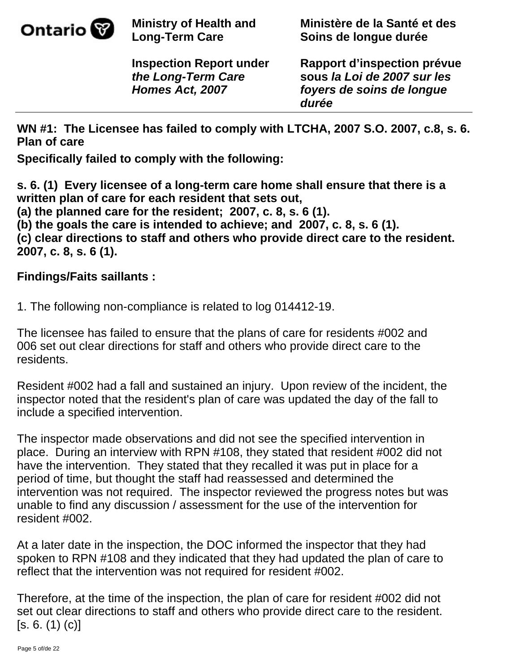

**Ministère de la Santé et des Soins de longue durée** 

**Inspection Report under the Long-Term Care Homes Act, 2007**

**Rapport d'inspection prévue sous la Loi de 2007 sur les foyers de soins de longue durée**

**WN #1: The Licensee has failed to comply with LTCHA, 2007 S.O. 2007, c.8, s. 6. Plan of care**

**Specifically failed to comply with the following:**

**s. 6. (1) Every licensee of a long-term care home shall ensure that there is a written plan of care for each resident that sets out,**

**(a) the planned care for the resident; 2007, c. 8, s. 6 (1).**

**(b) the goals the care is intended to achieve; and 2007, c. 8, s. 6 (1).**

**(c) clear directions to staff and others who provide direct care to the resident. 2007, c. 8, s. 6 (1).**

# **Findings/Faits saillants :**

1. The following non-compliance is related to log 014412-19.

The licensee has failed to ensure that the plans of care for residents #002 and 006 set out clear directions for staff and others who provide direct care to the residents.

Resident #002 had a fall and sustained an injury. Upon review of the incident, the inspector noted that the resident's plan of care was updated the day of the fall to include a specified intervention.

The inspector made observations and did not see the specified intervention in place. During an interview with RPN #108, they stated that resident #002 did not have the intervention. They stated that they recalled it was put in place for a period of time, but thought the staff had reassessed and determined the intervention was not required. The inspector reviewed the progress notes but was unable to find any discussion / assessment for the use of the intervention for resident #002.

At a later date in the inspection, the DOC informed the inspector that they had spoken to RPN #108 and they indicated that they had updated the plan of care to reflect that the intervention was not required for resident #002.

Therefore, at the time of the inspection, the plan of care for resident #002 did not set out clear directions to staff and others who provide direct care to the resident.  $[$ s. 6.  $(1)$   $(c)$ ]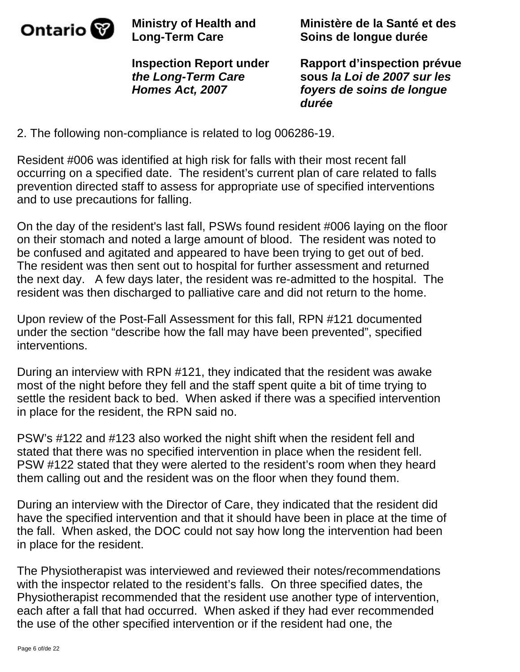

**Ministère de la Santé et des Soins de longue durée** 

**Inspection Report under the Long-Term Care Homes Act, 2007**

**Rapport d'inspection prévue sous la Loi de 2007 sur les foyers de soins de longue durée**

2. The following non-compliance is related to log 006286-19.

Resident #006 was identified at high risk for falls with their most recent fall occurring on a specified date. The resident's current plan of care related to falls prevention directed staff to assess for appropriate use of specified interventions and to use precautions for falling.

On the day of the resident's last fall, PSWs found resident #006 laying on the floor on their stomach and noted a large amount of blood. The resident was noted to be confused and agitated and appeared to have been trying to get out of bed. The resident was then sent out to hospital for further assessment and returned the next day. A few days later, the resident was re-admitted to the hospital. The resident was then discharged to palliative care and did not return to the home.

Upon review of the Post-Fall Assessment for this fall, RPN #121 documented under the section "describe how the fall may have been prevented", specified interventions.

During an interview with RPN #121, they indicated that the resident was awake most of the night before they fell and the staff spent quite a bit of time trying to settle the resident back to bed. When asked if there was a specified intervention in place for the resident, the RPN said no.

PSW's #122 and #123 also worked the night shift when the resident fell and stated that there was no specified intervention in place when the resident fell. PSW #122 stated that they were alerted to the resident's room when they heard them calling out and the resident was on the floor when they found them.

During an interview with the Director of Care, they indicated that the resident did have the specified intervention and that it should have been in place at the time of the fall. When asked, the DOC could not say how long the intervention had been in place for the resident.

The Physiotherapist was interviewed and reviewed their notes/recommendations with the inspector related to the resident's falls. On three specified dates, the Physiotherapist recommended that the resident use another type of intervention, each after a fall that had occurred. When asked if they had ever recommended the use of the other specified intervention or if the resident had one, the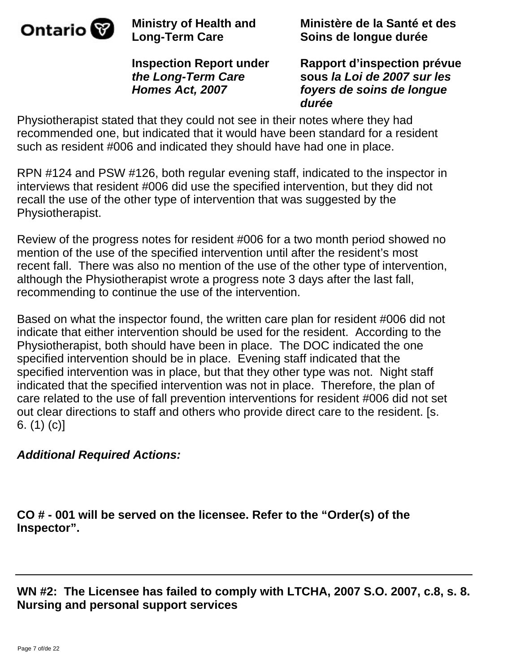

**Ministère de la Santé et des Soins de longue durée** 

**Inspection Report under the Long-Term Care Homes Act, 2007**

**Rapport d'inspection prévue sous la Loi de 2007 sur les foyers de soins de longue durée**

Physiotherapist stated that they could not see in their notes where they had recommended one, but indicated that it would have been standard for a resident such as resident #006 and indicated they should have had one in place.

RPN #124 and PSW #126, both regular evening staff, indicated to the inspector in interviews that resident #006 did use the specified intervention, but they did not recall the use of the other type of intervention that was suggested by the Physiotherapist.

Review of the progress notes for resident #006 for a two month period showed no mention of the use of the specified intervention until after the resident's most recent fall. There was also no mention of the use of the other type of intervention, although the Physiotherapist wrote a progress note 3 days after the last fall, recommending to continue the use of the intervention.

Based on what the inspector found, the written care plan for resident #006 did not indicate that either intervention should be used for the resident. According to the Physiotherapist, both should have been in place. The DOC indicated the one specified intervention should be in place. Evening staff indicated that the specified intervention was in place, but that they other type was not. Night staff indicated that the specified intervention was not in place. Therefore, the plan of care related to the use of fall prevention interventions for resident #006 did not set out clear directions to staff and others who provide direct care to the resident. [s. 6. (1) (c)]

### **Additional Required Actions:**

**CO # - 001 will be served on the licensee. Refer to the "Order(s) of the Inspector".**

**WN #2: The Licensee has failed to comply with LTCHA, 2007 S.O. 2007, c.8, s. 8. Nursing and personal support services**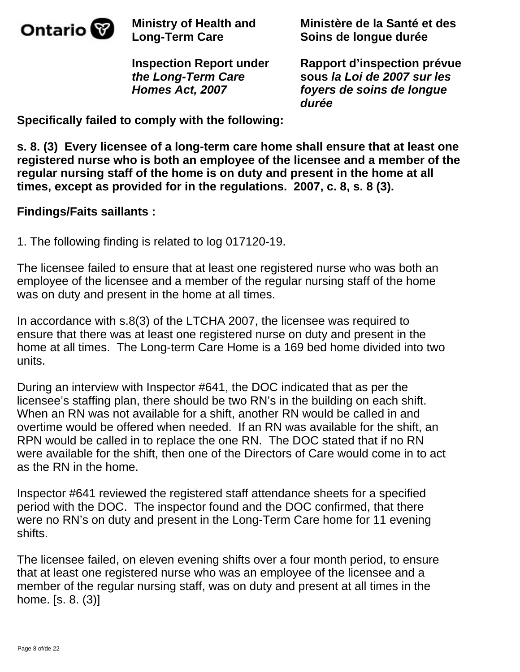

**Ministère de la Santé et des Soins de longue durée** 

**Inspection Report under the Long-Term Care Homes Act, 2007**

**Rapport d'inspection prévue sous la Loi de 2007 sur les foyers de soins de longue durée**

**Specifically failed to comply with the following:**

**s. 8. (3) Every licensee of a long-term care home shall ensure that at least one registered nurse who is both an employee of the licensee and a member of the regular nursing staff of the home is on duty and present in the home at all times, except as provided for in the regulations. 2007, c. 8, s. 8 (3).**

# **Findings/Faits saillants :**

1. The following finding is related to log 017120-19.

The licensee failed to ensure that at least one registered nurse who was both an employee of the licensee and a member of the regular nursing staff of the home was on duty and present in the home at all times.

In accordance with s.8(3) of the LTCHA 2007, the licensee was required to ensure that there was at least one registered nurse on duty and present in the home at all times. The Long-term Care Home is a 169 bed home divided into two units.

During an interview with Inspector #641, the DOC indicated that as per the licensee's staffing plan, there should be two RN's in the building on each shift. When an RN was not available for a shift, another RN would be called in and overtime would be offered when needed. If an RN was available for the shift, an RPN would be called in to replace the one RN. The DOC stated that if no RN were available for the shift, then one of the Directors of Care would come in to act as the RN in the home.

Inspector #641 reviewed the registered staff attendance sheets for a specified period with the DOC. The inspector found and the DOC confirmed, that there were no RN's on duty and present in the Long-Term Care home for 11 evening shifts.

The licensee failed, on eleven evening shifts over a four month period, to ensure that at least one registered nurse who was an employee of the licensee and a member of the regular nursing staff, was on duty and present at all times in the home. [s. 8. (3)]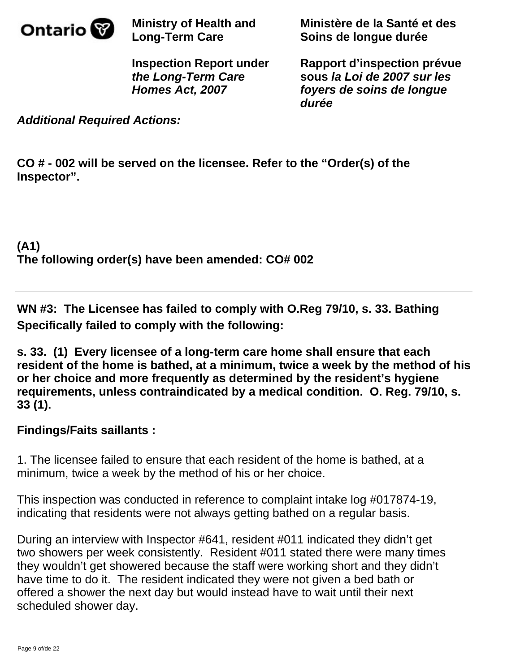

**Ministère de la Santé et des Soins de longue durée** 

**Inspection Report under the Long-Term Care Homes Act, 2007**

**Rapport d'inspection prévue sous la Loi de 2007 sur les foyers de soins de longue durée**

**Additional Required Actions:**

**CO # - 002 will be served on the licensee. Refer to the "Order(s) of the Inspector".**

**(A1) The following order(s) have been amended: CO# 002**

**WN #3: The Licensee has failed to comply with O.Reg 79/10, s. 33. Bathing Specifically failed to comply with the following:**

**s. 33. (1) Every licensee of a long-term care home shall ensure that each resident of the home is bathed, at a minimum, twice a week by the method of his or her choice and more frequently as determined by the resident's hygiene requirements, unless contraindicated by a medical condition. O. Reg. 79/10, s. 33 (1).**

### **Findings/Faits saillants :**

1. The licensee failed to ensure that each resident of the home is bathed, at a minimum, twice a week by the method of his or her choice.

This inspection was conducted in reference to complaint intake log #017874-19, indicating that residents were not always getting bathed on a regular basis.

During an interview with Inspector #641, resident #011 indicated they didn't get two showers per week consistently. Resident #011 stated there were many times they wouldn't get showered because the staff were working short and they didn't have time to do it. The resident indicated they were not given a bed bath or offered a shower the next day but would instead have to wait until their next scheduled shower day.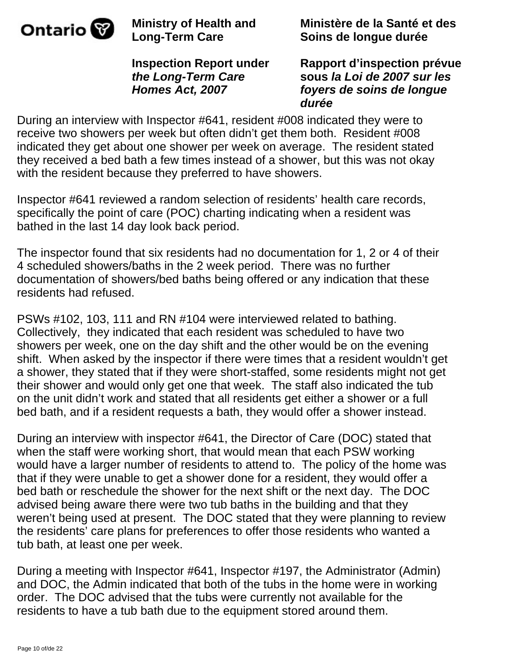

**Ministère de la Santé et des Soins de longue durée** 

#### **Inspection Report under the Long-Term Care Homes Act, 2007**

**Rapport d'inspection prévue sous la Loi de 2007 sur les foyers de soins de longue durée**

During an interview with Inspector #641, resident #008 indicated they were to receive two showers per week but often didn't get them both. Resident #008 indicated they get about one shower per week on average. The resident stated they received a bed bath a few times instead of a shower, but this was not okay with the resident because they preferred to have showers.

Inspector #641 reviewed a random selection of residents' health care records, specifically the point of care (POC) charting indicating when a resident was bathed in the last 14 day look back period.

The inspector found that six residents had no documentation for 1, 2 or 4 of their 4 scheduled showers/baths in the 2 week period. There was no further documentation of showers/bed baths being offered or any indication that these residents had refused.

PSWs #102, 103, 111 and RN #104 were interviewed related to bathing. Collectively, they indicated that each resident was scheduled to have two showers per week, one on the day shift and the other would be on the evening shift. When asked by the inspector if there were times that a resident wouldn't get a shower, they stated that if they were short-staffed, some residents might not get their shower and would only get one that week. The staff also indicated the tub on the unit didn't work and stated that all residents get either a shower or a full bed bath, and if a resident requests a bath, they would offer a shower instead.

During an interview with inspector #641, the Director of Care (DOC) stated that when the staff were working short, that would mean that each PSW working would have a larger number of residents to attend to. The policy of the home was that if they were unable to get a shower done for a resident, they would offer a bed bath or reschedule the shower for the next shift or the next day. The DOC advised being aware there were two tub baths in the building and that they weren't being used at present. The DOC stated that they were planning to review the residents' care plans for preferences to offer those residents who wanted a tub bath, at least one per week.

During a meeting with Inspector #641, Inspector #197, the Administrator (Admin) and DOC, the Admin indicated that both of the tubs in the home were in working order. The DOC advised that the tubs were currently not available for the residents to have a tub bath due to the equipment stored around them.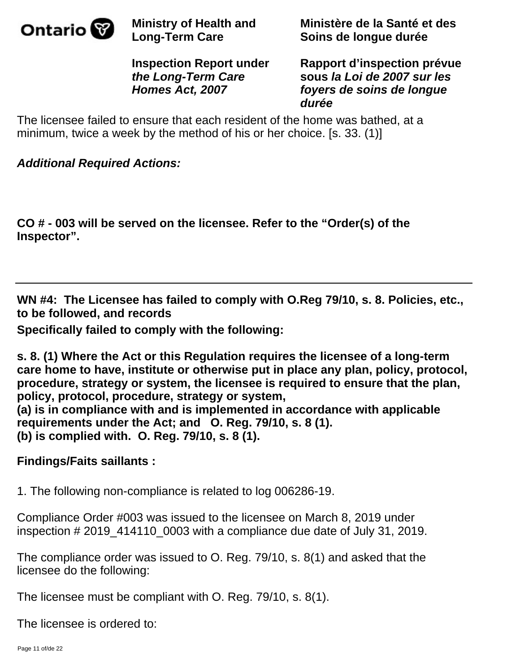

**Ministère de la Santé et des Soins de longue durée** 

**Inspection Report under the Long-Term Care Homes Act, 2007**

**Rapport d'inspection prévue sous la Loi de 2007 sur les foyers de soins de longue durée**

The licensee failed to ensure that each resident of the home was bathed, at a minimum, twice a week by the method of his or her choice. [s. 33. (1)]

**Additional Required Actions:**

**CO # - 003 will be served on the licensee. Refer to the "Order(s) of the Inspector".**

**WN #4: The Licensee has failed to comply with O.Reg 79/10, s. 8. Policies, etc., to be followed, and records**

**Specifically failed to comply with the following:**

**s. 8. (1) Where the Act or this Regulation requires the licensee of a long-term care home to have, institute or otherwise put in place any plan, policy, protocol, procedure, strategy or system, the licensee is required to ensure that the plan, policy, protocol, procedure, strategy or system, (a) is in compliance with and is implemented in accordance with applicable** 

**requirements under the Act; and O. Reg. 79/10, s. 8 (1). (b) is complied with. O. Reg. 79/10, s. 8 (1).**

# **Findings/Faits saillants :**

1. The following non-compliance is related to log 006286-19.

Compliance Order #003 was issued to the licensee on March 8, 2019 under inspection # 2019\_414110\_0003 with a compliance due date of July 31, 2019.

The compliance order was issued to O. Reg. 79/10, s. 8(1) and asked that the licensee do the following:

The licensee must be compliant with O. Reg. 79/10, s. 8(1).

The licensee is ordered to: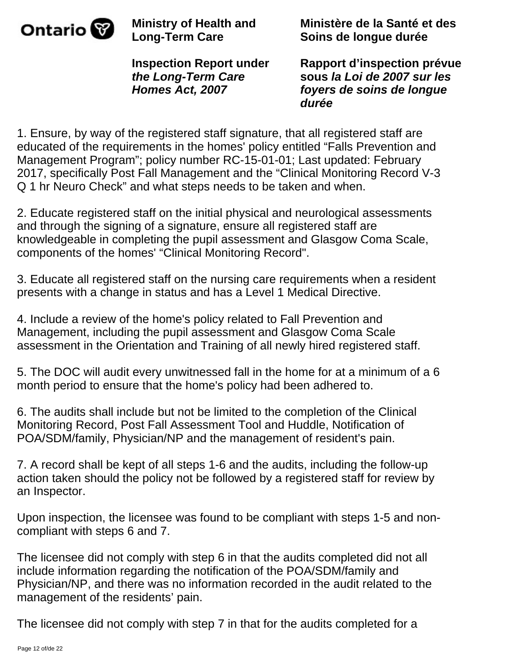

**Ministère de la Santé et des Soins de longue durée** 

**Inspection Report under the Long-Term Care Homes Act, 2007**

**Rapport d'inspection prévue sous la Loi de 2007 sur les foyers de soins de longue durée**

1. Ensure, by way of the registered staff signature, that all registered staff are educated of the requirements in the homes' policy entitled "Falls Prevention and Management Program"; policy number RC-15-01-01; Last updated: February 2017, specifically Post Fall Management and the "Clinical Monitoring Record V-3 Q 1 hr Neuro Check" and what steps needs to be taken and when.

2. Educate registered staff on the initial physical and neurological assessments and through the signing of a signature, ensure all registered staff are knowledgeable in completing the pupil assessment and Glasgow Coma Scale, components of the homes' "Clinical Monitoring Record".

3. Educate all registered staff on the nursing care requirements when a resident presents with a change in status and has a Level 1 Medical Directive.

4. Include a review of the home's policy related to Fall Prevention and Management, including the pupil assessment and Glasgow Coma Scale assessment in the Orientation and Training of all newly hired registered staff.

5. The DOC will audit every unwitnessed fall in the home for at a minimum of a 6 month period to ensure that the home's policy had been adhered to.

6. The audits shall include but not be limited to the completion of the Clinical Monitoring Record, Post Fall Assessment Tool and Huddle, Notification of POA/SDM/family, Physician/NP and the management of resident's pain.

7. A record shall be kept of all steps 1-6 and the audits, including the follow-up action taken should the policy not be followed by a registered staff for review by an Inspector.

Upon inspection, the licensee was found to be compliant with steps 1-5 and noncompliant with steps 6 and 7.

The licensee did not comply with step 6 in that the audits completed did not all include information regarding the notification of the POA/SDM/family and Physician/NP, and there was no information recorded in the audit related to the management of the residents' pain.

The licensee did not comply with step 7 in that for the audits completed for a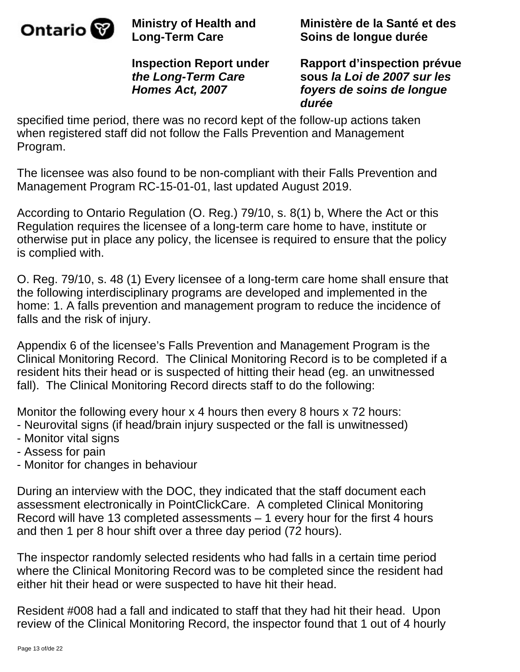

**Ministère de la Santé et des Soins de longue durée** 

**Inspection Report under the Long-Term Care Homes Act, 2007**

**Rapport d'inspection prévue sous la Loi de 2007 sur les foyers de soins de longue durée**

specified time period, there was no record kept of the follow-up actions taken when registered staff did not follow the Falls Prevention and Management Program.

The licensee was also found to be non-compliant with their Falls Prevention and Management Program RC-15-01-01, last updated August 2019.

According to Ontario Regulation (O. Reg.) 79/10, s. 8(1) b, Where the Act or this Regulation requires the licensee of a long-term care home to have, institute or otherwise put in place any policy, the licensee is required to ensure that the policy is complied with.

O. Reg. 79/10, s. 48 (1) Every licensee of a long-term care home shall ensure that the following interdisciplinary programs are developed and implemented in the home: 1. A falls prevention and management program to reduce the incidence of falls and the risk of injury.

Appendix 6 of the licensee's Falls Prevention and Management Program is the Clinical Monitoring Record. The Clinical Monitoring Record is to be completed if a resident hits their head or is suspected of hitting their head (eg. an unwitnessed fall). The Clinical Monitoring Record directs staff to do the following:

Monitor the following every hour x 4 hours then every 8 hours x 72 hours:

- Neurovital signs (if head/brain injury suspected or the fall is unwitnessed)
- Monitor vital signs
- Assess for pain
- Monitor for changes in behaviour

During an interview with the DOC, they indicated that the staff document each assessment electronically in PointClickCare. A completed Clinical Monitoring Record will have 13 completed assessments – 1 every hour for the first 4 hours and then 1 per 8 hour shift over a three day period (72 hours).

The inspector randomly selected residents who had falls in a certain time period where the Clinical Monitoring Record was to be completed since the resident had either hit their head or were suspected to have hit their head.

Resident #008 had a fall and indicated to staff that they had hit their head. Upon review of the Clinical Monitoring Record, the inspector found that 1 out of 4 hourly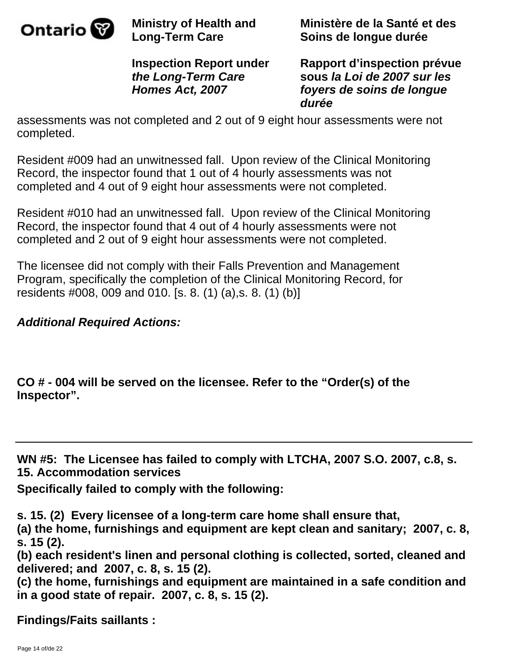

**Ministère de la Santé et des Soins de longue durée** 

**Inspection Report under the Long-Term Care Homes Act, 2007**

**Rapport d'inspection prévue sous la Loi de 2007 sur les foyers de soins de longue durée**

assessments was not completed and 2 out of 9 eight hour assessments were not completed.

Resident #009 had an unwitnessed fall. Upon review of the Clinical Monitoring Record, the inspector found that 1 out of 4 hourly assessments was not completed and 4 out of 9 eight hour assessments were not completed.

Resident #010 had an unwitnessed fall. Upon review of the Clinical Monitoring Record, the inspector found that 4 out of 4 hourly assessments were not completed and 2 out of 9 eight hour assessments were not completed.

The licensee did not comply with their Falls Prevention and Management Program, specifically the completion of the Clinical Monitoring Record, for residents #008, 009 and 010. [s. 8. (1) (a),s. 8. (1) (b)]

# **Additional Required Actions:**

**CO # - 004 will be served on the licensee. Refer to the "Order(s) of the Inspector".**

**WN #5: The Licensee has failed to comply with LTCHA, 2007 S.O. 2007, c.8, s. 15. Accommodation services**

**Specifically failed to comply with the following:**

**s. 15. (2) Every licensee of a long-term care home shall ensure that,**

**(a) the home, furnishings and equipment are kept clean and sanitary; 2007, c. 8, s. 15 (2).**

**(b) each resident's linen and personal clothing is collected, sorted, cleaned and delivered; and 2007, c. 8, s. 15 (2).**

**(c) the home, furnishings and equipment are maintained in a safe condition and in a good state of repair. 2007, c. 8, s. 15 (2).**

**Findings/Faits saillants :**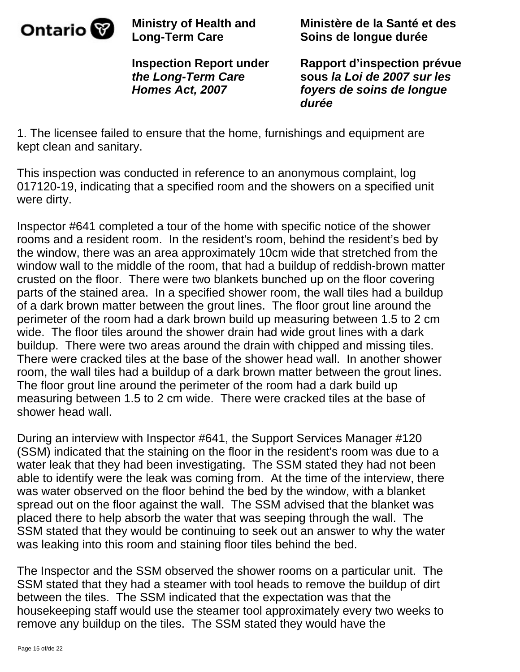

**Ministère de la Santé et des Soins de longue durée** 

**Inspection Report under the Long-Term Care Homes Act, 2007**

**Rapport d'inspection prévue sous la Loi de 2007 sur les foyers de soins de longue durée**

1. The licensee failed to ensure that the home, furnishings and equipment are kept clean and sanitary.

This inspection was conducted in reference to an anonymous complaint, log 017120-19, indicating that a specified room and the showers on a specified unit were dirty.

Inspector #641 completed a tour of the home with specific notice of the shower rooms and a resident room. In the resident's room, behind the resident's bed by the window, there was an area approximately 10cm wide that stretched from the window wall to the middle of the room, that had a buildup of reddish-brown matter crusted on the floor. There were two blankets bunched up on the floor covering parts of the stained area. In a specified shower room, the wall tiles had a buildup of a dark brown matter between the grout lines. The floor grout line around the perimeter of the room had a dark brown build up measuring between 1.5 to 2 cm wide. The floor tiles around the shower drain had wide grout lines with a dark buildup. There were two areas around the drain with chipped and missing tiles. There were cracked tiles at the base of the shower head wall. In another shower room, the wall tiles had a buildup of a dark brown matter between the grout lines. The floor grout line around the perimeter of the room had a dark build up measuring between 1.5 to 2 cm wide. There were cracked tiles at the base of shower head wall.

During an interview with Inspector #641, the Support Services Manager #120 (SSM) indicated that the staining on the floor in the resident's room was due to a water leak that they had been investigating. The SSM stated they had not been able to identify were the leak was coming from. At the time of the interview, there was water observed on the floor behind the bed by the window, with a blanket spread out on the floor against the wall. The SSM advised that the blanket was placed there to help absorb the water that was seeping through the wall. The SSM stated that they would be continuing to seek out an answer to why the water was leaking into this room and staining floor tiles behind the bed.

The Inspector and the SSM observed the shower rooms on a particular unit. The SSM stated that they had a steamer with tool heads to remove the buildup of dirt between the tiles. The SSM indicated that the expectation was that the housekeeping staff would use the steamer tool approximately every two weeks to remove any buildup on the tiles. The SSM stated they would have the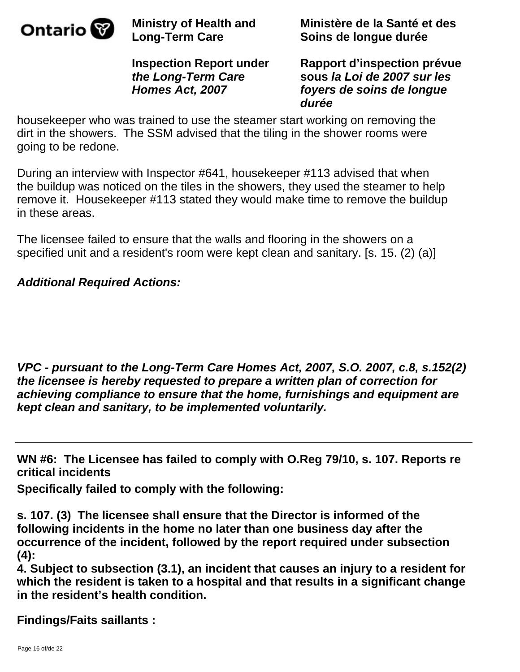

**Ministère de la Santé et des Soins de longue durée** 

### **Inspection Report under the Long-Term Care Homes Act, 2007**

**Rapport d'inspection prévue sous la Loi de 2007 sur les foyers de soins de longue durée**

housekeeper who was trained to use the steamer start working on removing the dirt in the showers. The SSM advised that the tiling in the shower rooms were going to be redone.

During an interview with Inspector #641, housekeeper #113 advised that when the buildup was noticed on the tiles in the showers, they used the steamer to help remove it. Housekeeper #113 stated they would make time to remove the buildup in these areas.

The licensee failed to ensure that the walls and flooring in the showers on a specified unit and a resident's room were kept clean and sanitary. [s. 15. (2) (a)]

# **Additional Required Actions:**

**VPC - pursuant to the Long-Term Care Homes Act, 2007, S.O. 2007, c.8, s.152(2) the licensee is hereby requested to prepare a written plan of correction for achieving compliance to ensure that the home, furnishings and equipment are kept clean and sanitary, to be implemented voluntarily.**

**WN #6: The Licensee has failed to comply with O.Reg 79/10, s. 107. Reports re critical incidents**

**Specifically failed to comply with the following:**

**s. 107. (3) The licensee shall ensure that the Director is informed of the following incidents in the home no later than one business day after the occurrence of the incident, followed by the report required under subsection (4):**

**4. Subject to subsection (3.1), an incident that causes an injury to a resident for which the resident is taken to a hospital and that results in a significant change in the resident's health condition.**

**Findings/Faits saillants :**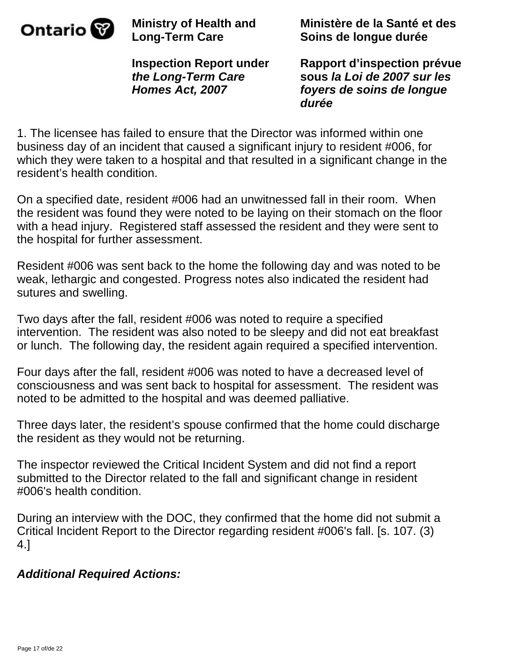

**Ministère de la Santé et des Soins de longue durée** 

**Inspection Report under the Long-Term Care Homes Act, 2007**

**Rapport d'inspection prévue sous la Loi de 2007 sur les foyers de soins de longue durée**

1. The licensee has failed to ensure that the Director was informed within one business day of an incident that caused a significant injury to resident #006, for which they were taken to a hospital and that resulted in a significant change in the resident's health condition.

On a specified date, resident #006 had an unwitnessed fall in their room. When the resident was found they were noted to be laying on their stomach on the floor with a head injury. Registered staff assessed the resident and they were sent to the hospital for further assessment.

Resident #006 was sent back to the home the following day and was noted to be weak, lethargic and congested. Progress notes also indicated the resident had sutures and swelling.

Two days after the fall, resident #006 was noted to require a specified intervention. The resident was also noted to be sleepy and did not eat breakfast or lunch. The following day, the resident again required a specified intervention.

Four days after the fall, resident #006 was noted to have a decreased level of consciousness and was sent back to hospital for assessment. The resident was noted to be admitted to the hospital and was deemed palliative.

Three days later, the resident's spouse confirmed that the home could discharge the resident as they would not be returning.

The inspector reviewed the Critical Incident System and did not find a report submitted to the Director related to the fall and significant change in resident #006's health condition.

During an interview with the DOC, they confirmed that the home did not submit a Critical Incident Report to the Director regarding resident #006's fall. [s. 107. (3) 4.]

### **Additional Required Actions:**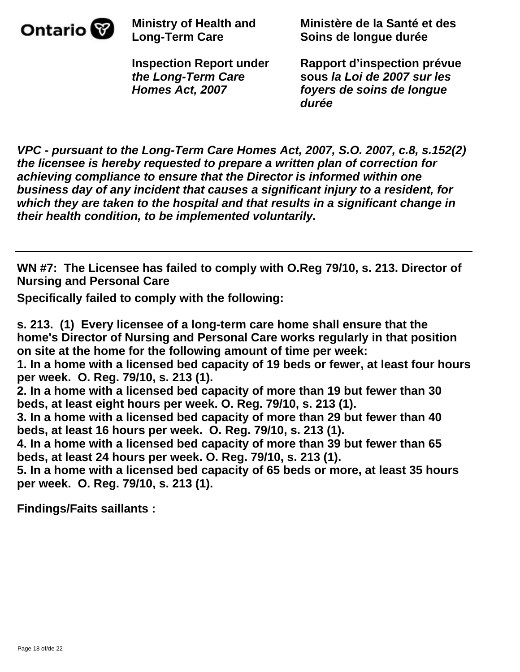

**Ministère de la Santé et des Soins de longue durée** 

**Inspection Report under the Long-Term Care Homes Act, 2007**

**Rapport d'inspection prévue sous la Loi de 2007 sur les foyers de soins de longue durée**

**VPC - pursuant to the Long-Term Care Homes Act, 2007, S.O. 2007, c.8, s.152(2) the licensee is hereby requested to prepare a written plan of correction for achieving compliance to ensure that the Director is informed within one business day of any incident that causes a significant injury to a resident, for which they are taken to the hospital and that results in a significant change in their health condition, to be implemented voluntarily.**

**WN #7: The Licensee has failed to comply with O.Reg 79/10, s. 213. Director of Nursing and Personal Care**

**Specifically failed to comply with the following:**

**s. 213. (1) Every licensee of a long-term care home shall ensure that the home's Director of Nursing and Personal Care works regularly in that position on site at the home for the following amount of time per week: 1. In a home with a licensed bed capacity of 19 beds or fewer, at least four hours per week. O. Reg. 79/10, s. 213 (1). 2. In a home with a licensed bed capacity of more than 19 but fewer than 30 beds, at least eight hours per week. O. Reg. 79/10, s. 213 (1). 3. In a home with a licensed bed capacity of more than 29 but fewer than 40 beds, at least 16 hours per week. O. Reg. 79/10, s. 213 (1).**

**4. In a home with a licensed bed capacity of more than 39 but fewer than 65 beds, at least 24 hours per week. O. Reg. 79/10, s. 213 (1).**

**5. In a home with a licensed bed capacity of 65 beds or more, at least 35 hours per week. O. Reg. 79/10, s. 213 (1).**

**Findings/Faits saillants :**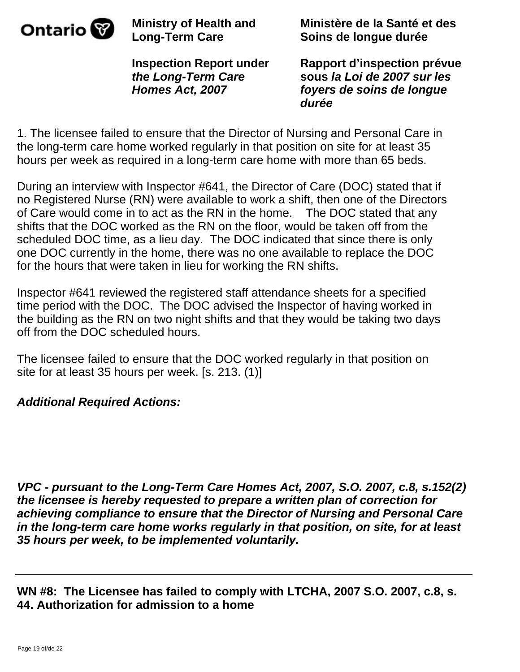

**Ministère de la Santé et des Soins de longue durée** 

**Inspection Report under the Long-Term Care Homes Act, 2007**

**Rapport d'inspection prévue sous la Loi de 2007 sur les foyers de soins de longue durée**

1. The licensee failed to ensure that the Director of Nursing and Personal Care in the long-term care home worked regularly in that position on site for at least 35 hours per week as required in a long-term care home with more than 65 beds.

During an interview with Inspector #641, the Director of Care (DOC) stated that if no Registered Nurse (RN) were available to work a shift, then one of the Directors of Care would come in to act as the RN in the home. The DOC stated that any shifts that the DOC worked as the RN on the floor, would be taken off from the scheduled DOC time, as a lieu day. The DOC indicated that since there is only one DOC currently in the home, there was no one available to replace the DOC for the hours that were taken in lieu for working the RN shifts.

Inspector #641 reviewed the registered staff attendance sheets for a specified time period with the DOC. The DOC advised the Inspector of having worked in the building as the RN on two night shifts and that they would be taking two days off from the DOC scheduled hours.

The licensee failed to ensure that the DOC worked regularly in that position on site for at least 35 hours per week. [s. 213. (1)]

### **Additional Required Actions:**

**VPC - pursuant to the Long-Term Care Homes Act, 2007, S.O. 2007, c.8, s.152(2) the licensee is hereby requested to prepare a written plan of correction for achieving compliance to ensure that the Director of Nursing and Personal Care in the long-term care home works regularly in that position, on site, for at least 35 hours per week, to be implemented voluntarily.**

**WN #8: The Licensee has failed to comply with LTCHA, 2007 S.O. 2007, c.8, s. 44. Authorization for admission to a home**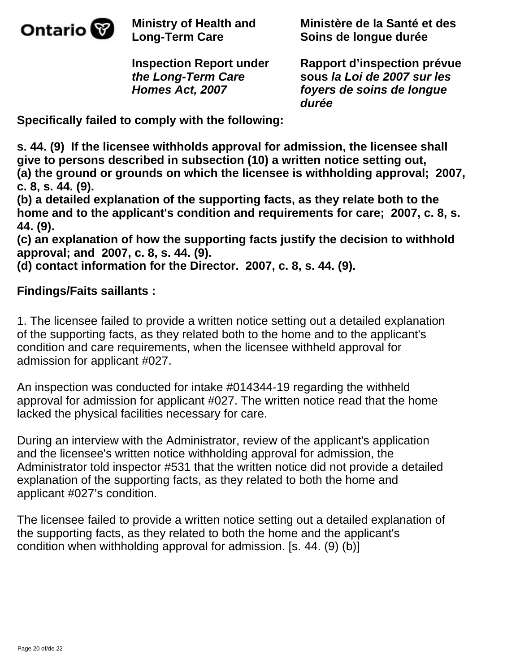

**Ministère de la Santé et des Soins de longue durée** 

**Inspection Report under the Long-Term Care Homes Act, 2007**

**Rapport d'inspection prévue sous la Loi de 2007 sur les foyers de soins de longue durée**

**Specifically failed to comply with the following:**

**s. 44. (9) If the licensee withholds approval for admission, the licensee shall give to persons described in subsection (10) a written notice setting out, (a) the ground or grounds on which the licensee is withholding approval; 2007, c. 8, s. 44. (9).**

**(b) a detailed explanation of the supporting facts, as they relate both to the home and to the applicant's condition and requirements for care; 2007, c. 8, s. 44. (9).**

**(c) an explanation of how the supporting facts justify the decision to withhold approval; and 2007, c. 8, s. 44. (9).**

**(d) contact information for the Director. 2007, c. 8, s. 44. (9).**

# **Findings/Faits saillants :**

1. The licensee failed to provide a written notice setting out a detailed explanation of the supporting facts, as they related both to the home and to the applicant's condition and care requirements, when the licensee withheld approval for admission for applicant #027.

An inspection was conducted for intake #014344-19 regarding the withheld approval for admission for applicant #027. The written notice read that the home lacked the physical facilities necessary for care.

During an interview with the Administrator, review of the applicant's application and the licensee's written notice withholding approval for admission, the Administrator told inspector #531 that the written notice did not provide a detailed explanation of the supporting facts, as they related to both the home and applicant #027's condition.

The licensee failed to provide a written notice setting out a detailed explanation of the supporting facts, as they related to both the home and the applicant's condition when withholding approval for admission. [s. 44. (9) (b)]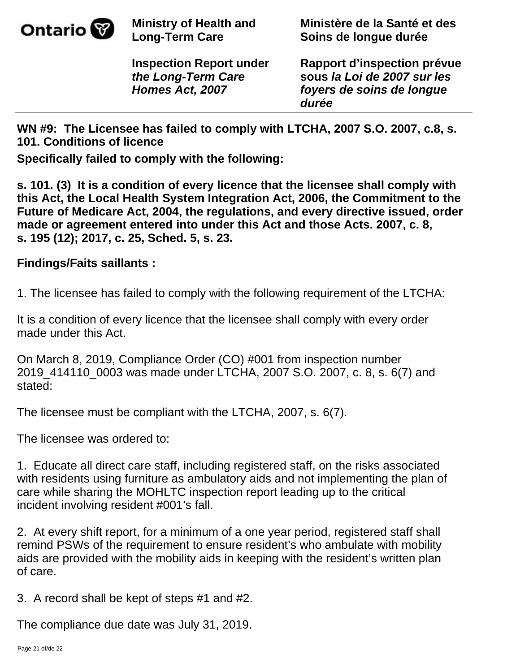

**Ministère de la Santé et des Soins de longue durée** 

**Inspection Report under the Long-Term Care Homes Act, 2007**

**Rapport d'inspection prévue sous la Loi de 2007 sur les foyers de soins de longue durée**

**WN #9: The Licensee has failed to comply with LTCHA, 2007 S.O. 2007, c.8, s. 101. Conditions of licence**

**Specifically failed to comply with the following:**

**s. 101. (3) It is a condition of every licence that the licensee shall comply with this Act, the Local Health System Integration Act, 2006, the Commitment to the Future of Medicare Act, 2004, the regulations, and every directive issued, order made or agreement entered into under this Act and those Acts. 2007, c. 8, s. 195 (12); 2017, c. 25, Sched. 5, s. 23.**

# **Findings/Faits saillants :**

1. The licensee has failed to comply with the following requirement of the LTCHA:

It is a condition of every licence that the licensee shall comply with every order made under this Act.

On March 8, 2019, Compliance Order (CO) #001 from inspection number 2019\_414110\_0003 was made under LTCHA, 2007 S.O. 2007, c. 8, s. 6(7) and stated:

The licensee must be compliant with the LTCHA, 2007, s. 6(7).

The licensee was ordered to:

1. Educate all direct care staff, including registered staff, on the risks associated with residents using furniture as ambulatory aids and not implementing the plan of care while sharing the MOHLTC inspection report leading up to the critical incident involving resident #001's fall.

2. At every shift report, for a minimum of a one year period, registered staff shall remind PSWs of the requirement to ensure resident's who ambulate with mobility aids are provided with the mobility aids in keeping with the resident's written plan of care.

3. A record shall be kept of steps #1 and #2.

The compliance due date was July 31, 2019.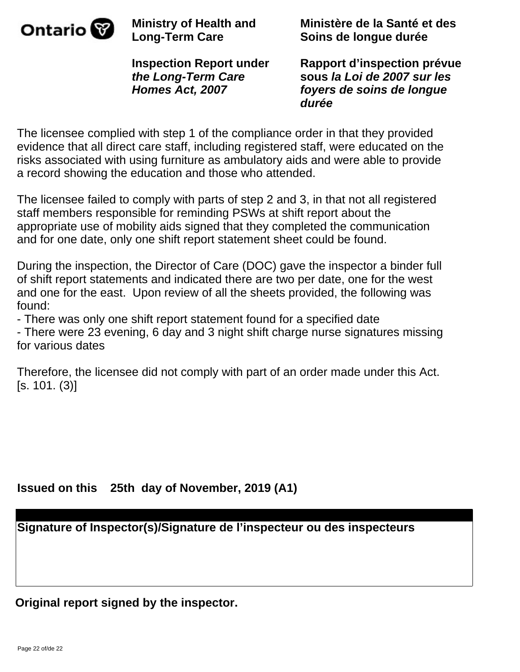

**Ministère de la Santé et des Soins de longue durée** 

**Inspection Report under the Long-Term Care Homes Act, 2007**

**Rapport d'inspection prévue sous la Loi de 2007 sur les foyers de soins de longue durée**

The licensee complied with step 1 of the compliance order in that they provided evidence that all direct care staff, including registered staff, were educated on the risks associated with using furniture as ambulatory aids and were able to provide a record showing the education and those who attended.

The licensee failed to comply with parts of step 2 and 3, in that not all registered staff members responsible for reminding PSWs at shift report about the appropriate use of mobility aids signed that they completed the communication and for one date, only one shift report statement sheet could be found.

During the inspection, the Director of Care (DOC) gave the inspector a binder full of shift report statements and indicated there are two per date, one for the west and one for the east. Upon review of all the sheets provided, the following was found:

- There was only one shift report statement found for a specified date

- There were 23 evening, 6 day and 3 night shift charge nurse signatures missing for various dates

Therefore, the licensee did not comply with part of an order made under this Act. [s. 101. (3)]

**Issued on this 25th day of November, 2019 (A1)**

**Signature of Inspector(s)/Signature de l'inspecteur ou des inspecteurs**

**Original report signed by the inspector.**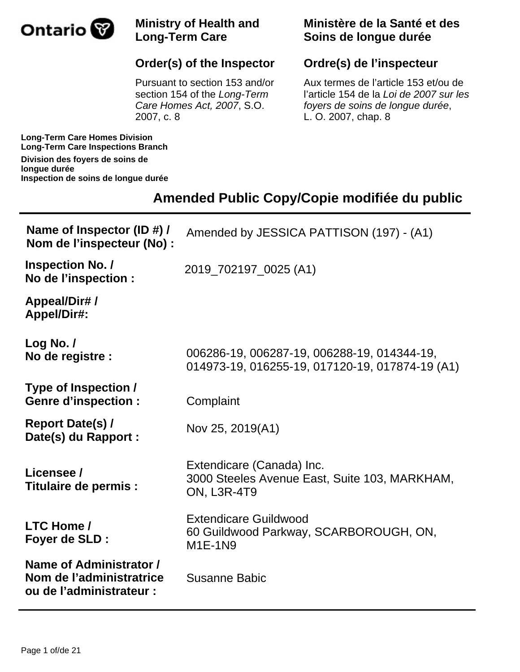

# **Order(s) of the Inspector**

Pursuant to section 153 and/or section 154 of the Long-Term Care Homes Act, 2007, S.O. 2007, c. 8

**Long-Term Care Homes Division Long-Term Care Inspections Branch**

**Division des foyers de soins de longue durée Inspection de soins de longue durée**

#### **Ministère de la Santé et des Soins de longue durée**

# **Ordre(s) de l'inspecteur**

Aux termes de l'article 153 et/ou de l'article 154 de la Loi de 2007 sur les foyers de soins de longue durée, L. O. 2007, chap. 8

# **Amended Public Copy/Copie modifiée du public**

| Name of Inspector (ID #) /<br>Nom de l'inspecteur (No) :                        | Amended by JESSICA PATTISON (197) - (A1)                                                                   |
|---------------------------------------------------------------------------------|------------------------------------------------------------------------------------------------------------|
| <b>Inspection No. /</b><br>No de l'inspection :                                 | 2019_702197_0025 (A1)                                                                                      |
| <b>Appeal/Dir#/</b><br>Appel/Dir#:                                              |                                                                                                            |
| Log No. $/$<br>No de registre :                                                 | 006286-19, 006287-19, 006288-19, 014344-19,<br>014973-19, 016255-19, 017120-19, 017874-19 (A1)             |
| Type of Inspection /<br><b>Genre d'inspection :</b>                             | Complaint                                                                                                  |
| <b>Report Date(s)/</b><br>Date(s) du Rapport :                                  | Nov 25, 2019(A1)                                                                                           |
| Licensee /<br><b>Titulaire de permis:</b>                                       | Extendicare (Canada) Inc.<br>3000 Steeles Avenue East, Suite 103, MARKHAM,<br><b>ON, L3R-4T9</b>           |
| LTC Home /<br>Foyer de SLD :                                                    | <b>Extendicare Guildwood</b><br>60 Guildwood Parkway, SCARBOROUGH, ON,<br>M <sub>1</sub> E-1N <sub>9</sub> |
| Name of Administrator /<br>Nom de l'administratrice<br>ou de l'administrateur : | <b>Susanne Babic</b>                                                                                       |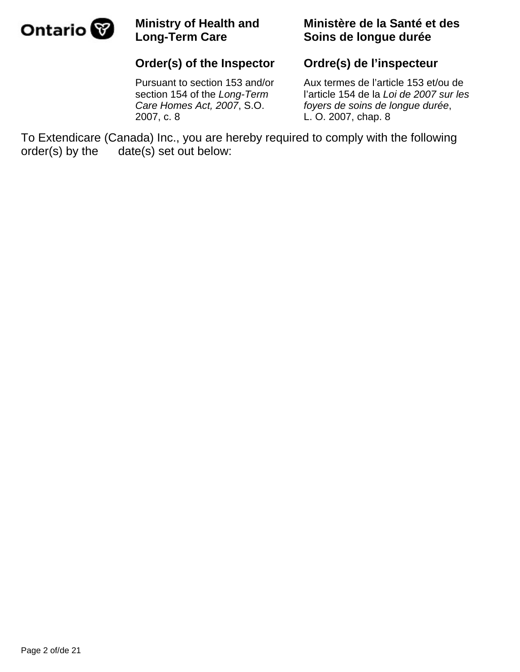

#### **Ministère de la Santé et des Soins de longue durée**

# **Order(s) of the Inspector**

Pursuant to section 153 and/or section 154 of the Long-Term Care Homes Act, 2007, S.O. 2007, c. 8

### **Ordre(s) de l'inspecteur**

Aux termes de l'article 153 et/ou de l'article 154 de la Loi de 2007 sur les foyers de soins de longue durée, L. O. 2007, chap. 8

To Extendicare (Canada) Inc., you are hereby required to comply with the following order(s) by the date(s) set out below: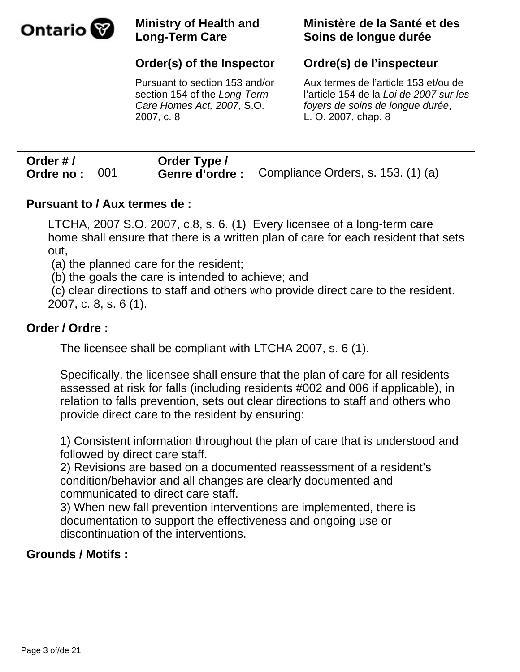

#### **Ministère de la Santé et des Soins de longue durée**

# **Order(s) of the Inspector**

Pursuant to section 153 and/or section 154 of the Long-Term Care Homes Act, 2007, S.O. 2007, c. 8

### **Ordre(s) de l'inspecteur**

Aux termes de l'article 153 et/ou de l'article 154 de la Loi de 2007 sur les foyers de soins de longue durée, L. O. 2007, chap. 8

| Order #/      | Order Type / |                                                           |
|---------------|--------------|-----------------------------------------------------------|
| Ordre no: 001 |              | <b>Genre d'ordre :</b> Compliance Orders, s. 153. (1) (a) |

#### **Pursuant to / Aux termes de :**

LTCHA, 2007 S.O. 2007, c.8, s. 6. (1) Every licensee of a long-term care home shall ensure that there is a written plan of care for each resident that sets out,

(a) the planned care for the resident;

(b) the goals the care is intended to achieve; and

 (c) clear directions to staff and others who provide direct care to the resident. 2007, c. 8, s. 6 (1).

### **Order / Ordre :**

The licensee shall be compliant with LTCHA 2007, s. 6 (1).

Specifically, the licensee shall ensure that the plan of care for all residents assessed at risk for falls (including residents #002 and 006 if applicable), in relation to falls prevention, sets out clear directions to staff and others who provide direct care to the resident by ensuring:

1) Consistent information throughout the plan of care that is understood and followed by direct care staff.

2) Revisions are based on a documented reassessment of a resident's condition/behavior and all changes are clearly documented and communicated to direct care staff.

3) When new fall prevention interventions are implemented, there is documentation to support the effectiveness and ongoing use or discontinuation of the interventions.

### **Grounds / Motifs :**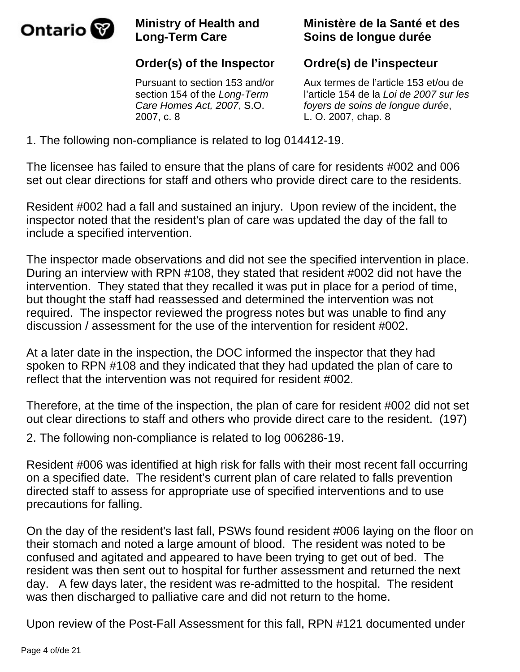

#### **Ministère de la Santé et des Soins de longue durée**

# **Order(s) of the Inspector**

Pursuant to section 153 and/or section 154 of the Long-Term Care Homes Act, 2007, S.O. 2007, c. 8

# **Ordre(s) de l'inspecteur**

Aux termes de l'article 153 et/ou de l'article 154 de la Loi de 2007 sur les foyers de soins de longue durée, L. O. 2007, chap. 8

1. The following non-compliance is related to log 014412-19.

The licensee has failed to ensure that the plans of care for residents #002 and 006 set out clear directions for staff and others who provide direct care to the residents.

Resident #002 had a fall and sustained an injury. Upon review of the incident, the inspector noted that the resident's plan of care was updated the day of the fall to include a specified intervention.

The inspector made observations and did not see the specified intervention in place. During an interview with RPN #108, they stated that resident #002 did not have the intervention. They stated that they recalled it was put in place for a period of time, but thought the staff had reassessed and determined the intervention was not required. The inspector reviewed the progress notes but was unable to find any discussion / assessment for the use of the intervention for resident #002.

At a later date in the inspection, the DOC informed the inspector that they had spoken to RPN #108 and they indicated that they had updated the plan of care to reflect that the intervention was not required for resident #002.

Therefore, at the time of the inspection, the plan of care for resident #002 did not set out clear directions to staff and others who provide direct care to the resident. (197)

2. The following non-compliance is related to log 006286-19.

Resident #006 was identified at high risk for falls with their most recent fall occurring on a specified date. The resident's current plan of care related to falls prevention directed staff to assess for appropriate use of specified interventions and to use precautions for falling.

On the day of the resident's last fall, PSWs found resident #006 laying on the floor on their stomach and noted a large amount of blood. The resident was noted to be confused and agitated and appeared to have been trying to get out of bed. The resident was then sent out to hospital for further assessment and returned the next day. A few days later, the resident was re-admitted to the hospital. The resident was then discharged to palliative care and did not return to the home.

Upon review of the Post-Fall Assessment for this fall, RPN #121 documented under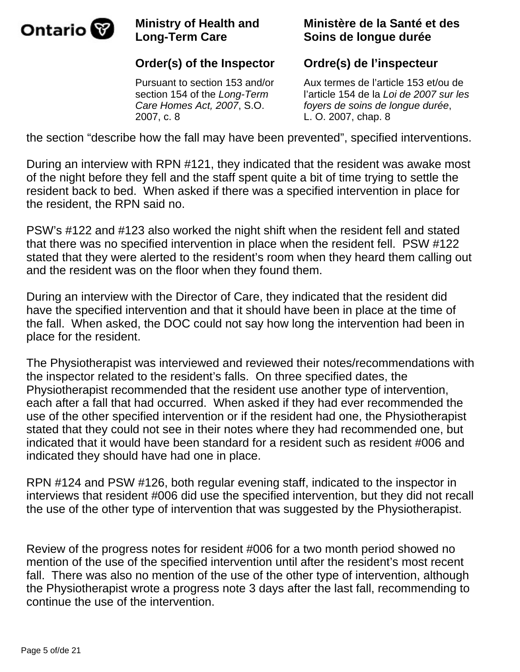

#### **Ministère de la Santé et des Soins de longue durée**

# **Order(s) of the Inspector**

Pursuant to section 153 and/or section 154 of the Long-Term Care Homes Act, 2007, S.O. 2007, c. 8

# **Ordre(s) de l'inspecteur**

Aux termes de l'article 153 et/ou de l'article 154 de la Loi de 2007 sur les foyers de soins de longue durée, L. O. 2007, chap. 8

the section "describe how the fall may have been prevented", specified interventions.

During an interview with RPN #121, they indicated that the resident was awake most of the night before they fell and the staff spent quite a bit of time trying to settle the resident back to bed. When asked if there was a specified intervention in place for the resident, the RPN said no.

PSW's #122 and #123 also worked the night shift when the resident fell and stated that there was no specified intervention in place when the resident fell. PSW #122 stated that they were alerted to the resident's room when they heard them calling out and the resident was on the floor when they found them.

During an interview with the Director of Care, they indicated that the resident did have the specified intervention and that it should have been in place at the time of the fall. When asked, the DOC could not say how long the intervention had been in place for the resident.

The Physiotherapist was interviewed and reviewed their notes/recommendations with the inspector related to the resident's falls. On three specified dates, the Physiotherapist recommended that the resident use another type of intervention, each after a fall that had occurred. When asked if they had ever recommended the use of the other specified intervention or if the resident had one, the Physiotherapist stated that they could not see in their notes where they had recommended one, but indicated that it would have been standard for a resident such as resident #006 and indicated they should have had one in place.

RPN #124 and PSW #126, both regular evening staff, indicated to the inspector in interviews that resident #006 did use the specified intervention, but they did not recall the use of the other type of intervention that was suggested by the Physiotherapist.

Review of the progress notes for resident #006 for a two month period showed no mention of the use of the specified intervention until after the resident's most recent fall. There was also no mention of the use of the other type of intervention, although the Physiotherapist wrote a progress note 3 days after the last fall, recommending to continue the use of the intervention.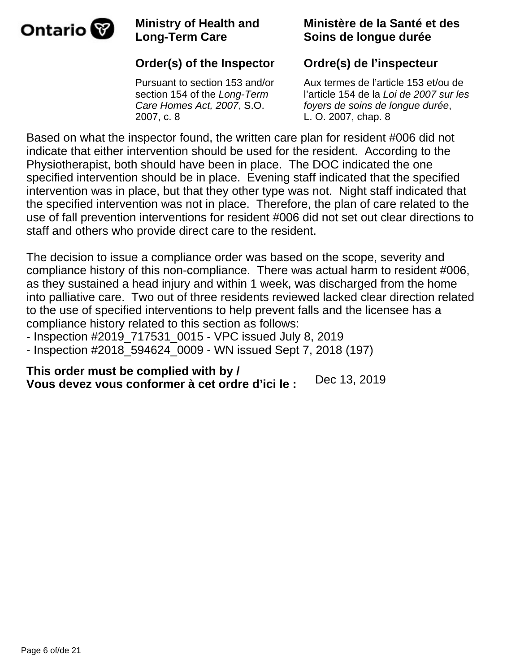

#### **Ministère de la Santé et des Soins de longue durée**

# **Order(s) of the Inspector**

Pursuant to section 153 and/or section 154 of the Long-Term Care Homes Act, 2007, S.O. 2007, c. 8

### **Ordre(s) de l'inspecteur**

Aux termes de l'article 153 et/ou de l'article 154 de la Loi de 2007 sur les foyers de soins de longue durée, L. O. 2007, chap. 8

Based on what the inspector found, the written care plan for resident #006 did not indicate that either intervention should be used for the resident. According to the Physiotherapist, both should have been in place. The DOC indicated the one specified intervention should be in place. Evening staff indicated that the specified intervention was in place, but that they other type was not. Night staff indicated that the specified intervention was not in place. Therefore, the plan of care related to the use of fall prevention interventions for resident #006 did not set out clear directions to staff and others who provide direct care to the resident.

The decision to issue a compliance order was based on the scope, severity and compliance history of this non-compliance. There was actual harm to resident #006, as they sustained a head injury and within 1 week, was discharged from the home into palliative care. Two out of three residents reviewed lacked clear direction related to the use of specified interventions to help prevent falls and the licensee has a compliance history related to this section as follows:

- Inspection #2019\_717531\_0015 VPC issued July 8, 2019
- Inspection #2018\_594624\_0009 WN issued Sept 7, 2018 (197)

**This order must be complied with by / Vous devez vous conformer à cet ordre d'ici le :** Dec 13, 2019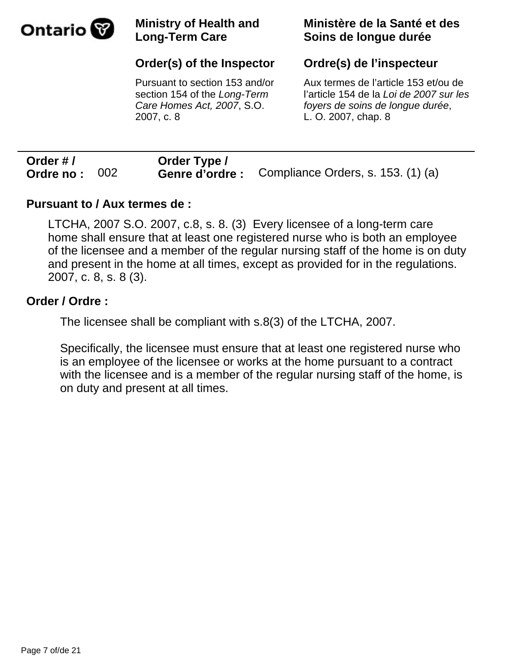

#### **Ministère de la Santé et des Soins de longue durée**

# **Order(s) of the Inspector**

Pursuant to section 153 and/or section 154 of the Long-Term Care Homes Act, 2007, S.O. 2007, c. 8

### **Ordre(s) de l'inspecteur**

Aux termes de l'article 153 et/ou de l'article 154 de la Loi de 2007 sur les foyers de soins de longue durée, L. O. 2007, chap. 8

| Order #/        | Order Type / |                                                           |
|-----------------|--------------|-----------------------------------------------------------|
| Ordre no: $002$ |              | <b>Genre d'ordre :</b> Compliance Orders, s. 153. (1) (a) |

#### **Pursuant to / Aux termes de :**

LTCHA, 2007 S.O. 2007, c.8, s. 8. (3) Every licensee of a long-term care home shall ensure that at least one registered nurse who is both an employee of the licensee and a member of the regular nursing staff of the home is on duty and present in the home at all times, except as provided for in the regulations. 2007, c. 8, s. 8 (3).

#### **Order / Ordre :**

The licensee shall be compliant with s.8(3) of the LTCHA, 2007.

Specifically, the licensee must ensure that at least one registered nurse who is an employee of the licensee or works at the home pursuant to a contract with the licensee and is a member of the regular nursing staff of the home, is on duty and present at all times.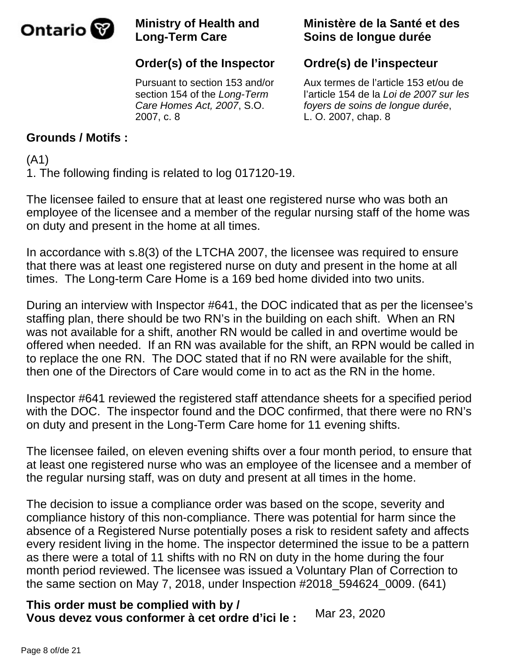

# **Order(s) of the Inspector**

Pursuant to section 153 and/or section 154 of the Long-Term Care Homes Act, 2007, S.O. 2007, c. 8

### **Ministère de la Santé et des Soins de longue durée**

# **Ordre(s) de l'inspecteur**

Aux termes de l'article 153 et/ou de l'article 154 de la Loi de 2007 sur les foyers de soins de longue durée, L. O. 2007, chap. 8

# **Grounds / Motifs :**

(A1)

1. The following finding is related to log 017120-19.

The licensee failed to ensure that at least one registered nurse who was both an employee of the licensee and a member of the regular nursing staff of the home was on duty and present in the home at all times.

In accordance with s.8(3) of the LTCHA 2007, the licensee was required to ensure that there was at least one registered nurse on duty and present in the home at all times. The Long-term Care Home is a 169 bed home divided into two units.

During an interview with Inspector #641, the DOC indicated that as per the licensee's staffing plan, there should be two RN's in the building on each shift. When an RN was not available for a shift, another RN would be called in and overtime would be offered when needed. If an RN was available for the shift, an RPN would be called in to replace the one RN. The DOC stated that if no RN were available for the shift, then one of the Directors of Care would come in to act as the RN in the home.

Inspector #641 reviewed the registered staff attendance sheets for a specified period with the DOC. The inspector found and the DOC confirmed, that there were no RN's on duty and present in the Long-Term Care home for 11 evening shifts.

The licensee failed, on eleven evening shifts over a four month period, to ensure that at least one registered nurse who was an employee of the licensee and a member of the regular nursing staff, was on duty and present at all times in the home.

The decision to issue a compliance order was based on the scope, severity and compliance history of this non-compliance. There was potential for harm since the absence of a Registered Nurse potentially poses a risk to resident safety and affects every resident living in the home. The inspector determined the issue to be a pattern as there were a total of 11 shifts with no RN on duty in the home during the four month period reviewed. The licensee was issued a Voluntary Plan of Correction to the same section on May 7, 2018, under Inspection #2018\_594624\_0009. (641)

**This order must be complied with by / Vous devez vous conformer à cet ordre d'ici le :** Mar 23, 2020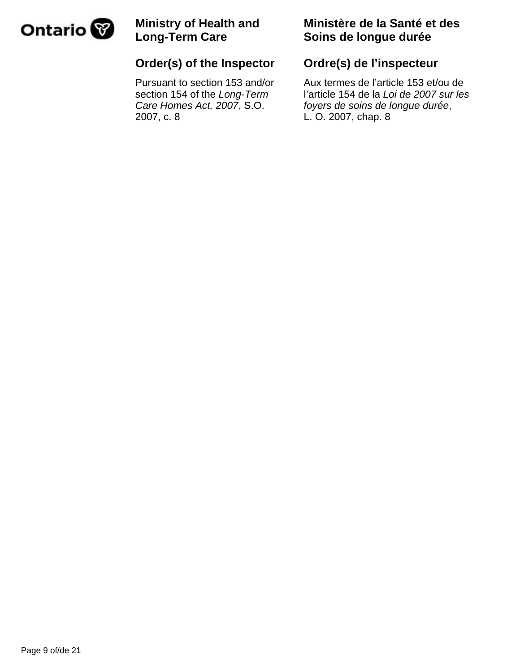

#### **Ministère de la Santé et des Soins de longue durée**

# **Order(s) of the Inspector**

Pursuant to section 153 and/or section 154 of the Long-Term Care Homes Act, 2007, S.O. 2007, c. 8

# **Ordre(s) de l'inspecteur**

Aux termes de l'article 153 et/ou de l'article 154 de la Loi de 2007 sur les foyers de soins de longue durée, L. O. 2007, chap. 8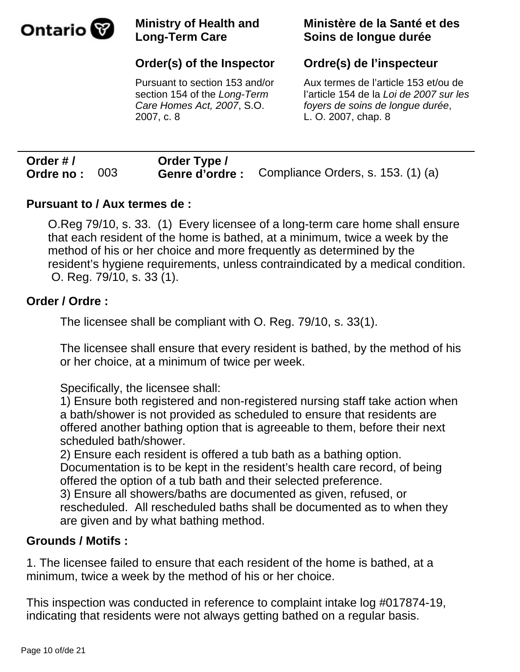

# **Order(s) of the Inspector**

Pursuant to section 153 and/or section 154 of the Long-Term Care Homes Act, 2007, S.O. 2007, c. 8

#### **Ministère de la Santé et des Soins de longue durée**

# **Ordre(s) de l'inspecteur**

Aux termes de l'article 153 et/ou de l'article 154 de la Loi de 2007 sur les foyers de soins de longue durée, L. O. 2007, chap. 8

| Order #/        | Order Type / |                                                           |
|-----------------|--------------|-----------------------------------------------------------|
| Ordre no: $003$ |              | <b>Genre d'ordre :</b> Compliance Orders, s. 153. (1) (a) |

# **Pursuant to / Aux termes de :**

O.Reg 79/10, s. 33. (1) Every licensee of a long-term care home shall ensure that each resident of the home is bathed, at a minimum, twice a week by the method of his or her choice and more frequently as determined by the resident's hygiene requirements, unless contraindicated by a medical condition. O. Reg. 79/10, s. 33 (1).

# **Order / Ordre :**

The licensee shall be compliant with O. Reg. 79/10, s. 33(1).

The licensee shall ensure that every resident is bathed, by the method of his or her choice, at a minimum of twice per week.

Specifically, the licensee shall:

1) Ensure both registered and non-registered nursing staff take action when a bath/shower is not provided as scheduled to ensure that residents are offered another bathing option that is agreeable to them, before their next scheduled bath/shower.

2) Ensure each resident is offered a tub bath as a bathing option. Documentation is to be kept in the resident's health care record, of being offered the option of a tub bath and their selected preference.

3) Ensure all showers/baths are documented as given, refused, or rescheduled. All rescheduled baths shall be documented as to when they are given and by what bathing method.

### **Grounds / Motifs :**

1. The licensee failed to ensure that each resident of the home is bathed, at a minimum, twice a week by the method of his or her choice.

This inspection was conducted in reference to complaint intake log #017874-19, indicating that residents were not always getting bathed on a regular basis.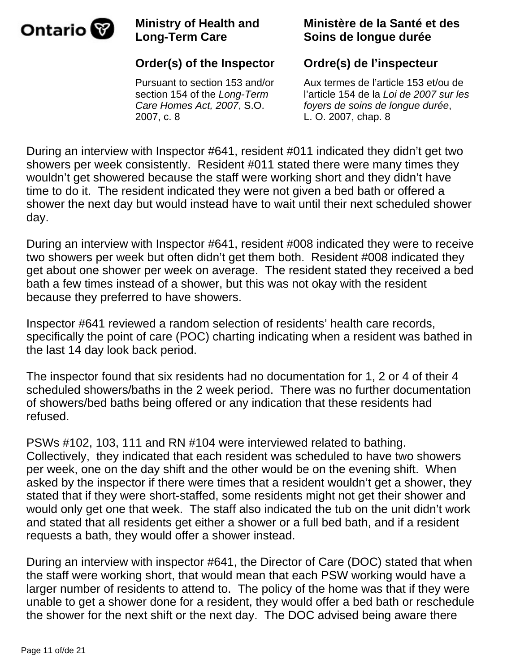

#### **Ministère de la Santé et des Soins de longue durée**

# **Order(s) of the Inspector**

Pursuant to section 153 and/or section 154 of the Long-Term Care Homes Act, 2007, S.O. 2007, c. 8

# **Ordre(s) de l'inspecteur**

Aux termes de l'article 153 et/ou de l'article 154 de la Loi de 2007 sur les foyers de soins de longue durée, L. O. 2007, chap. 8

During an interview with Inspector #641, resident #011 indicated they didn't get two showers per week consistently. Resident #011 stated there were many times they wouldn't get showered because the staff were working short and they didn't have time to do it. The resident indicated they were not given a bed bath or offered a shower the next day but would instead have to wait until their next scheduled shower day.

During an interview with Inspector #641, resident #008 indicated they were to receive two showers per week but often didn't get them both. Resident #008 indicated they get about one shower per week on average. The resident stated they received a bed bath a few times instead of a shower, but this was not okay with the resident because they preferred to have showers.

Inspector #641 reviewed a random selection of residents' health care records, specifically the point of care (POC) charting indicating when a resident was bathed in the last 14 day look back period.

The inspector found that six residents had no documentation for 1, 2 or 4 of their 4 scheduled showers/baths in the 2 week period. There was no further documentation of showers/bed baths being offered or any indication that these residents had refused.

PSWs #102, 103, 111 and RN #104 were interviewed related to bathing. Collectively, they indicated that each resident was scheduled to have two showers per week, one on the day shift and the other would be on the evening shift. When asked by the inspector if there were times that a resident wouldn't get a shower, they stated that if they were short-staffed, some residents might not get their shower and would only get one that week. The staff also indicated the tub on the unit didn't work and stated that all residents get either a shower or a full bed bath, and if a resident requests a bath, they would offer a shower instead.

During an interview with inspector #641, the Director of Care (DOC) stated that when the staff were working short, that would mean that each PSW working would have a larger number of residents to attend to. The policy of the home was that if they were unable to get a shower done for a resident, they would offer a bed bath or reschedule the shower for the next shift or the next day. The DOC advised being aware there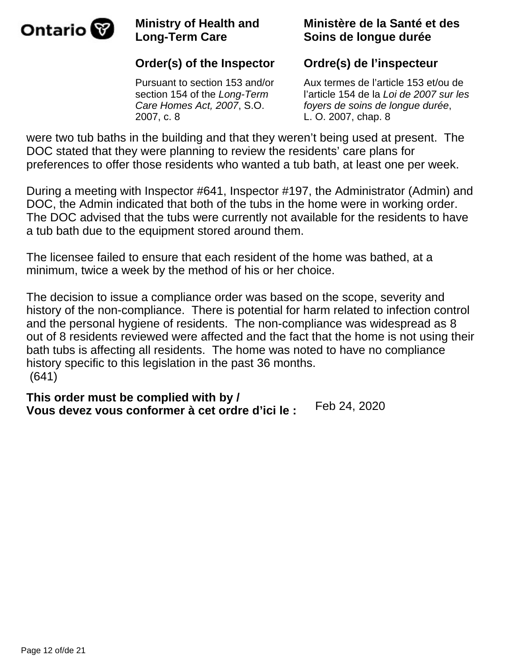

#### **Ministère de la Santé et des Soins de longue durée**

# **Order(s) of the Inspector**

Pursuant to section 153 and/or section 154 of the Long-Term Care Homes Act, 2007, S.O. 2007, c. 8

# **Ordre(s) de l'inspecteur**

Aux termes de l'article 153 et/ou de l'article 154 de la Loi de 2007 sur les foyers de soins de longue durée, L. O. 2007, chap. 8

were two tub baths in the building and that they weren't being used at present. The DOC stated that they were planning to review the residents' care plans for preferences to offer those residents who wanted a tub bath, at least one per week.

During a meeting with Inspector #641, Inspector #197, the Administrator (Admin) and DOC, the Admin indicated that both of the tubs in the home were in working order. The DOC advised that the tubs were currently not available for the residents to have a tub bath due to the equipment stored around them.

The licensee failed to ensure that each resident of the home was bathed, at a minimum, twice a week by the method of his or her choice.

The decision to issue a compliance order was based on the scope, severity and history of the non-compliance. There is potential for harm related to infection control and the personal hygiene of residents. The non-compliance was widespread as 8 out of 8 residents reviewed were affected and the fact that the home is not using their bath tubs is affecting all residents. The home was noted to have no compliance history specific to this legislation in the past 36 months. (641)

**This order must be complied with by / Vous devez vous conformer à cet ordre d'ici le :** Feb 24, 2020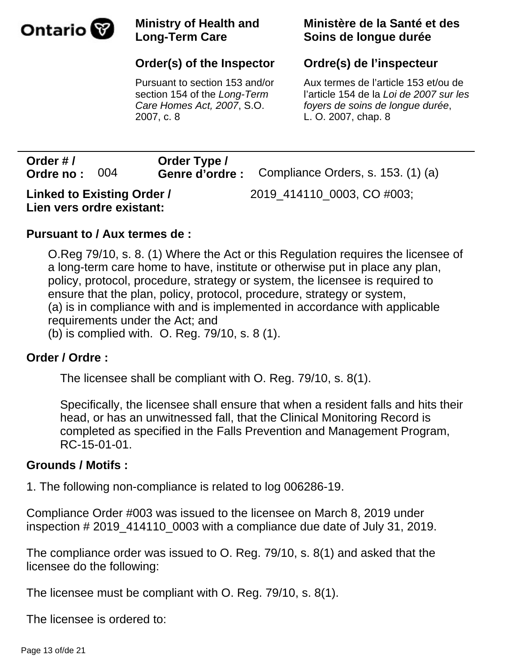

#### **Ministère de la Santé et des Soins de longue durée**

# **Order(s) of the Inspector**

Pursuant to section 153 and/or section 154 of the Long-Term Care Homes Act, 2007, S.O. 2007, c. 8

# **Ordre(s) de l'inspecteur**

Aux termes de l'article 153 et/ou de l'article 154 de la Loi de 2007 sur les foyers de soins de longue durée, L. O. 2007, chap. 8

004 **Order # / Ordre no :**

**Order Type /**

**Genre d'ordre :** Compliance Orders, s. 153. (1) (a)

**Linked to Existing Order / Lien vers ordre existant:**

2019\_414110\_0003, CO #003;

# **Pursuant to / Aux termes de :**

O.Reg 79/10, s. 8. (1) Where the Act or this Regulation requires the licensee of a long-term care home to have, institute or otherwise put in place any plan, policy, protocol, procedure, strategy or system, the licensee is required to ensure that the plan, policy, protocol, procedure, strategy or system, (a) is in compliance with and is implemented in accordance with applicable requirements under the Act; and

(b) is complied with. O. Reg. 79/10, s. 8 (1).

### **Order / Ordre :**

The licensee shall be compliant with O. Reg. 79/10, s. 8(1).

Specifically, the licensee shall ensure that when a resident falls and hits their head, or has an unwitnessed fall, that the Clinical Monitoring Record is completed as specified in the Falls Prevention and Management Program, RC-15-01-01.

### **Grounds / Motifs :**

1. The following non-compliance is related to log 006286-19.

Compliance Order #003 was issued to the licensee on March 8, 2019 under inspection # 2019\_414110\_0003 with a compliance due date of July 31, 2019.

The compliance order was issued to O. Reg. 79/10, s. 8(1) and asked that the licensee do the following:

The licensee must be compliant with O. Reg. 79/10, s. 8(1).

The licensee is ordered to: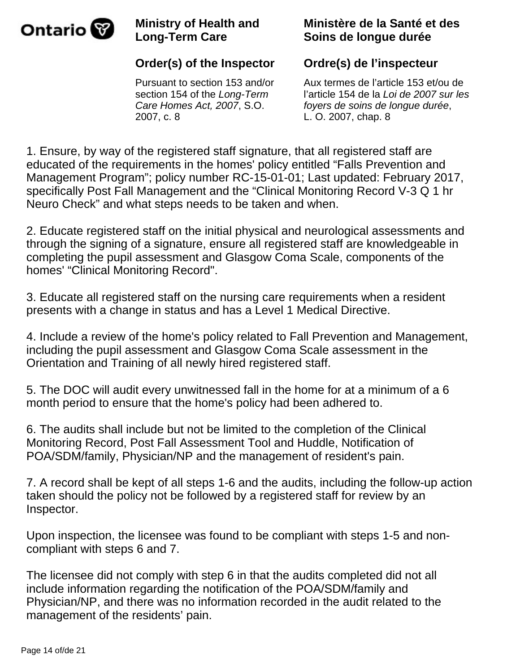

#### **Ministère de la Santé et des Soins de longue durée**

# **Order(s) of the Inspector**

Pursuant to section 153 and/or section 154 of the Long-Term Care Homes Act, 2007, S.O. 2007, c. 8

# **Ordre(s) de l'inspecteur**

Aux termes de l'article 153 et/ou de l'article 154 de la Loi de 2007 sur les foyers de soins de longue durée, L. O. 2007, chap. 8

1. Ensure, by way of the registered staff signature, that all registered staff are educated of the requirements in the homes' policy entitled "Falls Prevention and Management Program"; policy number RC-15-01-01; Last updated: February 2017, specifically Post Fall Management and the "Clinical Monitoring Record V-3 Q 1 hr Neuro Check" and what steps needs to be taken and when.

2. Educate registered staff on the initial physical and neurological assessments and through the signing of a signature, ensure all registered staff are knowledgeable in completing the pupil assessment and Glasgow Coma Scale, components of the homes' "Clinical Monitoring Record".

3. Educate all registered staff on the nursing care requirements when a resident presents with a change in status and has a Level 1 Medical Directive.

4. Include a review of the home's policy related to Fall Prevention and Management, including the pupil assessment and Glasgow Coma Scale assessment in the Orientation and Training of all newly hired registered staff.

5. The DOC will audit every unwitnessed fall in the home for at a minimum of a 6 month period to ensure that the home's policy had been adhered to.

6. The audits shall include but not be limited to the completion of the Clinical Monitoring Record, Post Fall Assessment Tool and Huddle, Notification of POA/SDM/family, Physician/NP and the management of resident's pain.

7. A record shall be kept of all steps 1-6 and the audits, including the follow-up action taken should the policy not be followed by a registered staff for review by an Inspector.

Upon inspection, the licensee was found to be compliant with steps 1-5 and noncompliant with steps 6 and 7.

The licensee did not comply with step 6 in that the audits completed did not all include information regarding the notification of the POA/SDM/family and Physician/NP, and there was no information recorded in the audit related to the management of the residents' pain.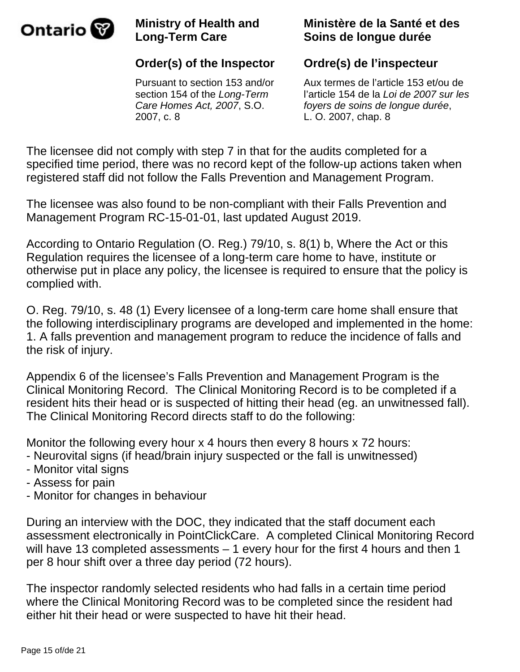

#### **Ministère de la Santé et des Soins de longue durée**

# **Order(s) of the Inspector**

Pursuant to section 153 and/or section 154 of the Long-Term Care Homes Act, 2007, S.O. 2007, c. 8

# **Ordre(s) de l'inspecteur**

Aux termes de l'article 153 et/ou de l'article 154 de la Loi de 2007 sur les foyers de soins de longue durée, L. O. 2007, chap. 8

The licensee did not comply with step 7 in that for the audits completed for a specified time period, there was no record kept of the follow-up actions taken when registered staff did not follow the Falls Prevention and Management Program.

The licensee was also found to be non-compliant with their Falls Prevention and Management Program RC-15-01-01, last updated August 2019.

According to Ontario Regulation (O. Reg.) 79/10, s. 8(1) b, Where the Act or this Regulation requires the licensee of a long-term care home to have, institute or otherwise put in place any policy, the licensee is required to ensure that the policy is complied with.

O. Reg. 79/10, s. 48 (1) Every licensee of a long-term care home shall ensure that the following interdisciplinary programs are developed and implemented in the home: 1. A falls prevention and management program to reduce the incidence of falls and the risk of injury.

Appendix 6 of the licensee's Falls Prevention and Management Program is the Clinical Monitoring Record. The Clinical Monitoring Record is to be completed if a resident hits their head or is suspected of hitting their head (eg. an unwitnessed fall). The Clinical Monitoring Record directs staff to do the following:

Monitor the following every hour x 4 hours then every 8 hours x 72 hours:

- Neurovital signs (if head/brain injury suspected or the fall is unwitnessed)
- Monitor vital signs
- Assess for pain
- Monitor for changes in behaviour

During an interview with the DOC, they indicated that the staff document each assessment electronically in PointClickCare. A completed Clinical Monitoring Record will have 13 completed assessments – 1 every hour for the first 4 hours and then 1 per 8 hour shift over a three day period (72 hours).

The inspector randomly selected residents who had falls in a certain time period where the Clinical Monitoring Record was to be completed since the resident had either hit their head or were suspected to have hit their head.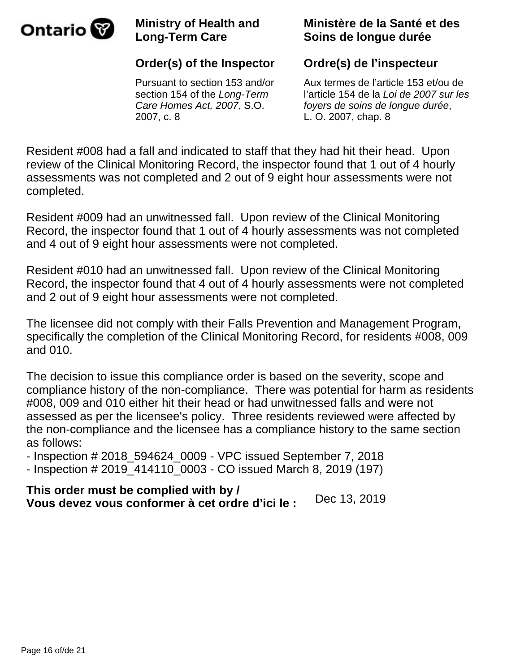

#### **Ministère de la Santé et des Soins de longue durée**

# **Order(s) of the Inspector**

Pursuant to section 153 and/or section 154 of the Long-Term Care Homes Act, 2007, S.O. 2007, c. 8

# **Ordre(s) de l'inspecteur**

Aux termes de l'article 153 et/ou de l'article 154 de la Loi de 2007 sur les foyers de soins de longue durée, L. O. 2007, chap. 8

Resident #008 had a fall and indicated to staff that they had hit their head. Upon review of the Clinical Monitoring Record, the inspector found that 1 out of 4 hourly assessments was not completed and 2 out of 9 eight hour assessments were not completed.

Resident #009 had an unwitnessed fall. Upon review of the Clinical Monitoring Record, the inspector found that 1 out of 4 hourly assessments was not completed and 4 out of 9 eight hour assessments were not completed.

Resident #010 had an unwitnessed fall. Upon review of the Clinical Monitoring Record, the inspector found that 4 out of 4 hourly assessments were not completed and 2 out of 9 eight hour assessments were not completed.

The licensee did not comply with their Falls Prevention and Management Program, specifically the completion of the Clinical Monitoring Record, for residents #008, 009 and 010.

The decision to issue this compliance order is based on the severity, scope and compliance history of the non-compliance. There was potential for harm as residents #008, 009 and 010 either hit their head or had unwitnessed falls and were not assessed as per the licensee's policy. Three residents reviewed were affected by the non-compliance and the licensee has a compliance history to the same section as follows:

- Inspection # 2018\_594624\_0009 - VPC issued September 7, 2018

- Inspection # 2019\_414110\_0003 - CO issued March 8, 2019 (197)

**This order must be complied with by / Vous devez vous conformer à cet ordre d'ici le :** Dec 13, 2019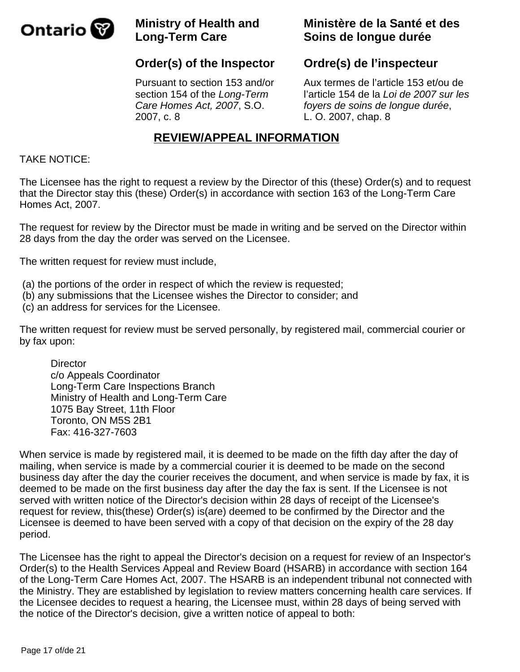

#### **Ministère de la Santé et des Soins de longue durée**

# **Order(s) of the Inspector**

Pursuant to section 153 and/or section 154 of the Long-Term Care Homes Act, 2007, S.O. 2007, c. 8

### **Ordre(s) de l'inspecteur**

Aux termes de l'article 153 et/ou de l'article 154 de la Loi de 2007 sur les foyers de soins de longue durée, L. O. 2007, chap. 8

# **REVIEW/APPEAL INFORMATION**

#### TAKE NOTICE:

The Licensee has the right to request a review by the Director of this (these) Order(s) and to request that the Director stay this (these) Order(s) in accordance with section 163 of the Long-Term Care Homes Act, 2007.

The request for review by the Director must be made in writing and be served on the Director within 28 days from the day the order was served on the Licensee.

The written request for review must include,

- (a) the portions of the order in respect of which the review is requested;
- (b) any submissions that the Licensee wishes the Director to consider; and
- (c) an address for services for the Licensee.

The written request for review must be served personally, by registered mail, commercial courier or by fax upon:

**Director**  c/o Appeals Coordinator Long-Term Care Inspections Branch Ministry of Health and Long-Term Care 1075 Bay Street, 11th Floor Toronto, ON M5S 2B1 Fax: 416-327-7603

When service is made by registered mail, it is deemed to be made on the fifth day after the day of mailing, when service is made by a commercial courier it is deemed to be made on the second business day after the day the courier receives the document, and when service is made by fax, it is deemed to be made on the first business day after the day the fax is sent. If the Licensee is not served with written notice of the Director's decision within 28 days of receipt of the Licensee's request for review, this(these) Order(s) is(are) deemed to be confirmed by the Director and the Licensee is deemed to have been served with a copy of that decision on the expiry of the 28 day period.

The Licensee has the right to appeal the Director's decision on a request for review of an Inspector's Order(s) to the Health Services Appeal and Review Board (HSARB) in accordance with section 164 of the Long-Term Care Homes Act, 2007. The HSARB is an independent tribunal not connected with the Ministry. They are established by legislation to review matters concerning health care services. If the Licensee decides to request a hearing, the Licensee must, within 28 days of being served with the notice of the Director's decision, give a written notice of appeal to both: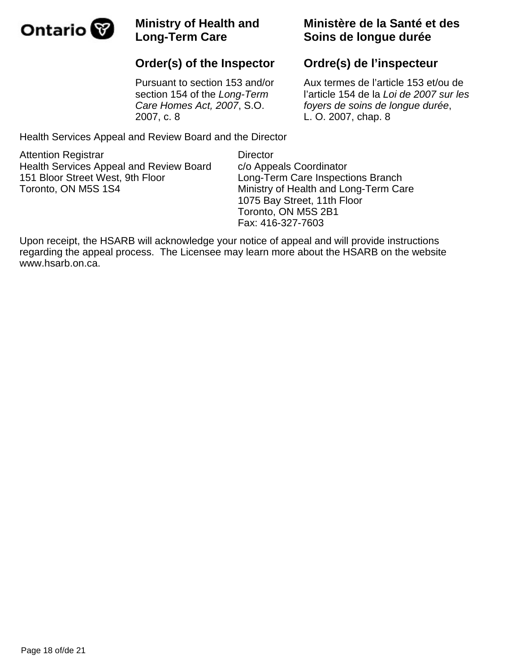

# **Order(s) of the Inspector**

Pursuant to section 153 and/or section 154 of the Long-Term Care Homes Act, 2007, S.O. 2007, c. 8

#### **Ministère de la Santé et des Soins de longue durée**

### **Ordre(s) de l'inspecteur**

Aux termes de l'article 153 et/ou de l'article 154 de la Loi de 2007 sur les foyers de soins de longue durée, L. O. 2007, chap. 8

Health Services Appeal and Review Board and the Director

Attention Registrar Health Services Appeal and Review Board 151 Bloor Street West, 9th Floor Toronto, ON M5S 1S4

**Director** c/o Appeals Coordinator Long-Term Care Inspections Branch Ministry of Health and Long-Term Care 1075 Bay Street, 11th Floor Toronto, ON M5S 2B1 Fax: 416-327-7603

Upon receipt, the HSARB will acknowledge your notice of appeal and will provide instructions regarding the appeal process. The Licensee may learn more about the HSARB on the website www.hsarb.on.ca.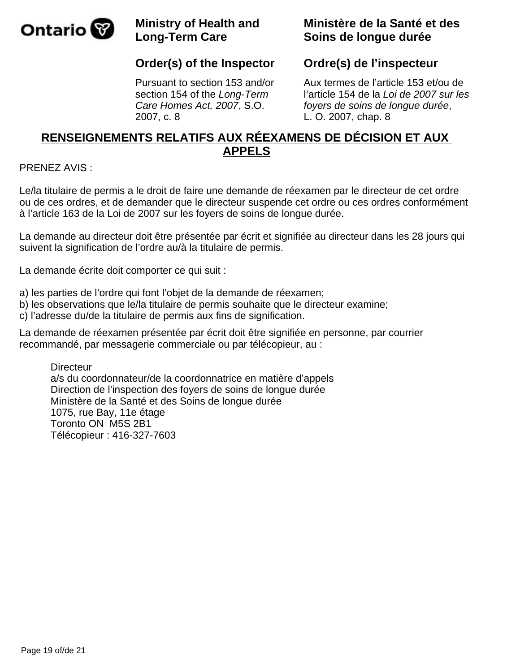

#### **Ministère de la Santé et des Soins de longue durée**

# **Order(s) of the Inspector**

# **Ordre(s) de l'inspecteur**

Pursuant to section 153 and/or section 154 of the Long-Term Care Homes Act, 2007, S.O. 2007, c. 8

Aux termes de l'article 153 et/ou de l'article 154 de la Loi de 2007 sur les foyers de soins de longue durée, L. O. 2007, chap. 8

### **RENSEIGNEMENTS RELATIFS AUX RÉEXAMENS DE DÉCISION ET AUX APPELS**

#### PRENEZ AVIS :

Le/la titulaire de permis a le droit de faire une demande de réexamen par le directeur de cet ordre ou de ces ordres, et de demander que le directeur suspende cet ordre ou ces ordres conformément à l'article 163 de la Loi de 2007 sur les foyers de soins de longue durée.

La demande au directeur doit être présentée par écrit et signifiée au directeur dans les 28 jours qui suivent la signification de l'ordre au/à la titulaire de permis.

La demande écrite doit comporter ce qui suit :

a) les parties de l'ordre qui font l'objet de la demande de réexamen;

- b) les observations que le/la titulaire de permis souhaite que le directeur examine;
- c) l'adresse du/de la titulaire de permis aux fins de signification.

La demande de réexamen présentée par écrit doit être signifiée en personne, par courrier recommandé, par messagerie commerciale ou par télécopieur, au :

**Directeur**  a/s du coordonnateur/de la coordonnatrice en matière d'appels Direction de l'inspection des foyers de soins de longue durée Ministère de la Santé et des Soins de longue durée 1075, rue Bay, 11e étage Toronto ON M5S 2B1 Télécopieur : 416-327-7603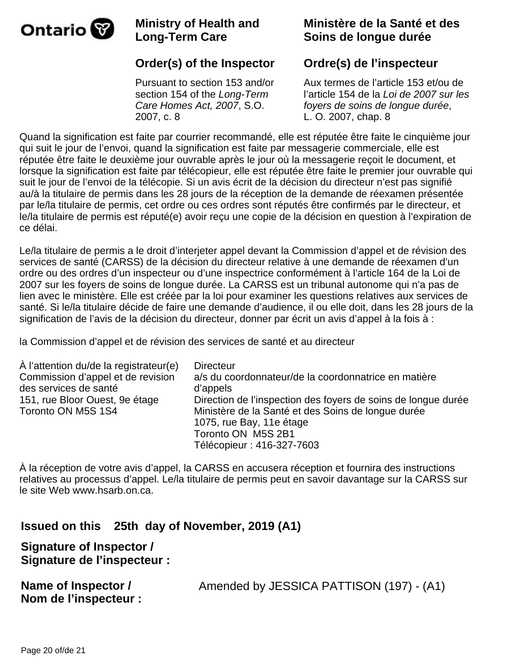

#### **Ministère de la Santé et des Soins de longue durée**

# **Order(s) of the Inspector**

Pursuant to section 153 and/or section 154 of the Long-Term Care Homes Act, 2007, S.O. 2007, c. 8

# **Ordre(s) de l'inspecteur**

Aux termes de l'article 153 et/ou de l'article 154 de la Loi de 2007 sur les foyers de soins de longue durée, L. O. 2007, chap. 8

Quand la signification est faite par courrier recommandé, elle est réputée être faite le cinquième jour qui suit le jour de l'envoi, quand la signification est faite par messagerie commerciale, elle est réputée être faite le deuxième jour ouvrable après le jour où la messagerie reçoit le document, et lorsque la signification est faite par télécopieur, elle est réputée être faite le premier jour ouvrable qui suit le jour de l'envoi de la télécopie. Si un avis écrit de la décision du directeur n'est pas signifié au/à la titulaire de permis dans les 28 jours de la réception de la demande de réexamen présentée par le/la titulaire de permis, cet ordre ou ces ordres sont réputés être confirmés par le directeur, et le/la titulaire de permis est réputé(e) avoir reçu une copie de la décision en question à l'expiration de ce délai.

Le/la titulaire de permis a le droit d'interjeter appel devant la Commission d'appel et de révision des services de santé (CARSS) de la décision du directeur relative à une demande de réexamen d'un ordre ou des ordres d'un inspecteur ou d'une inspectrice conformément à l'article 164 de la Loi de 2007 sur les foyers de soins de longue durée. La CARSS est un tribunal autonome qui n'a pas de lien avec le ministère. Elle est créée par la loi pour examiner les questions relatives aux services de santé. Si le/la titulaire décide de faire une demande d'audience, il ou elle doit, dans les 28 jours de la signification de l'avis de la décision du directeur, donner par écrit un avis d'appel à la fois à :

la Commission d'appel et de révision des services de santé et au directeur

| À l'attention du/de la registrateur(e) | <b>Directeur</b>                                              |
|----------------------------------------|---------------------------------------------------------------|
| Commission d'appel et de revision      | a/s du coordonnateur/de la coordonnatrice en matière          |
| des services de santé                  | d'appels                                                      |
| 151, rue Bloor Ouest, 9e étage         | Direction de l'inspection des foyers de soins de longue durée |
| Toronto ON M5S 1S4                     | Ministère de la Santé et des Soins de longue durée            |
|                                        | 1075, rue Bay, 11e étage                                      |
|                                        | Toronto ON M5S 2B1                                            |
|                                        | Télécopieur : 416-327-7603                                    |

À la réception de votre avis d'appel, la CARSS en accusera réception et fournira des instructions relatives au processus d'appel. Le/la titulaire de permis peut en savoir davantage sur la CARSS sur le site Web www.hsarb.on.ca.

### **Issued on this 25th day of November, 2019 (A1)**

#### **Signature of Inspector / Signature de l'inspecteur :**

| Name of Inspector /   | Amended by JESSICA PATTISON (197) - (A1) |
|-----------------------|------------------------------------------|
| Nom de l'inspecteur : |                                          |